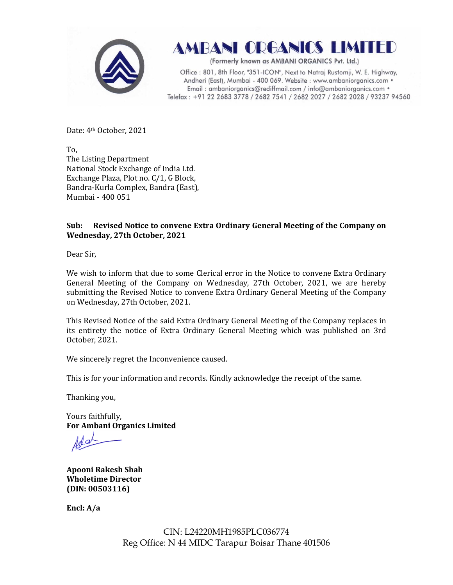



(Formerly known as AMBANI ORGANICS Pvt. Ltd.)

Office: 801, 8th Floor, "351-ICON", Next to Natraj Rustomji, W. E. Highway, Andheri (East), Mumbai - 400 069. Website : www.ambaniorganics.com • Email: ambaniorganics@rediffmail.com / info@ambaniorganics.com . Telefax: +91 22 2683 3778 / 2682 7541 / 2682 2027 / 2682 2028 / 93237 94560

Date: 4th October, 2021

To, The Listing Department National Stock Exchange of India Ltd. Exchange Plaza, Plot no. C/1, G Block, Bandra-Kurla Complex, Bandra (East), Mumbai - 400 051

# **Sub: Revised Notice to convene Extra Ordinary General Meeting of the Company on Wednesday, 27th October, 2021**

Dear Sir,

We wish to inform that due to some Clerical error in the Notice to convene Extra Ordinary General Meeting of the Company on Wednesday, 27th October, 2021, we are hereby submitting the Revised Notice to convene Extra Ordinary General Meeting of the Company on Wednesday, 27th October, 2021.

This Revised Notice of the said Extra Ordinary General Meeting of the Company replaces in its entirety the notice of Extra Ordinary General Meeting which was published on 3rd October, 2021.

We sincerely regret the Inconvenience caused.

This is for your information and records. Kindly acknowledge the receipt of the same.

Thanking you,

Yours faithfully, **For Ambani Organics Limited** 

**Apooni Rakesh Shah Wholetime Director (DIN: [00503116\)](http://www.mca.gov.in/mcafoportal/companyLLPMasterData.do)** 

**Encl: A/a** 

CIN: L24220MH1985PLC036774 Reg Office: N 44 MIDC Tarapur Boisar Thane 401506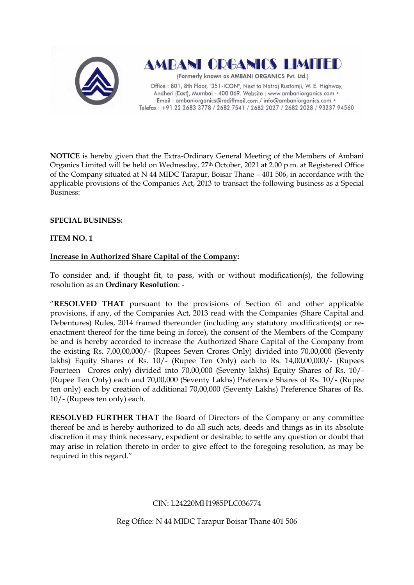



(Formerly known as AMBANI ORGANICS Pvt. Ltd.)

Office: 801, 8th Floor, "351-ICON", Next to Natraj Rustomji, W. E. Highway, Andheri (East), Mumbai - 400 069. Website : www.ambaniorganics.com · Email: ambaniorganics@rediffmail.com / info@ambaniorganics.com . Telefax: +91 22 2683 3778 / 2682 7541 / 2682 2027 / 2682 2028 / 93237 94560

**NOTICE** is hereby given that the Extra-Ordinary General Meeting of the Members of Ambani Organics Limited will be held on Wednesday, 27th October, 2021 at 2.00 p.m. at Registered Office of the Company situated at N 44 MIDC Tarapur, Boisar Thane – 401 506, in accordance with the applicable provisions of the Companies Act, 2013 to transact the following business as a Special Business:

# **SPECIAL BUSINESS:**

# **ITEM NO. 1**

# **Increase in Authorized Share Capital of the Company:**

To consider and, if thought fit, to pass, with or without modification(s), the following resolution as an **Ordinary Resolution**: -

"**RESOLVED THAT** pursuant to the provisions of Section 61 and other applicable provisions, if any, of the Companies Act, 2013 read with the Companies (Share Capital and Debentures) Rules, 2014 framed thereunder (including any statutory modification(s) or reenactment thereof for the time being in force), the consent of the Members of the Company be and is hereby accorded to increase the Authorized Share Capital of the Company from the existing Rs. 7,00,00,000/- (Rupees Seven Crores Only) divided into 70,00,000 (Seventy lakhs) Equity Shares of Rs. 10/- (Rupee Ten Only) each to Rs. 14,00,00,000/- (Rupees Fourteen Crores only) divided into 70,00,000 (Seventy lakhs) Equity Shares of Rs. 10/- (Rupee Ten Only) each and 70,00,000 (Seventy Lakhs) Preference Shares of Rs. 10/- (Rupee ten only) each by creation of additional 70,00,000 (Seventy Lakhs) Preference Shares of Rs. 10/- (Rupees ten only) each.

**RESOLVED FURTHER THAT** the Board of Directors of the Company or any committee thereof be and is hereby authorized to do all such acts, deeds and things as in its absolute discretion it may think necessary, expedient or desirable; to settle any question or doubt that may arise in relation thereto in order to give effect to the foregoing resolution, as may be required in this regard."

## CIN: L24220MH1985PLC036774

Reg Office: N 44 MIDC Tarapur Boisar Thane 401 506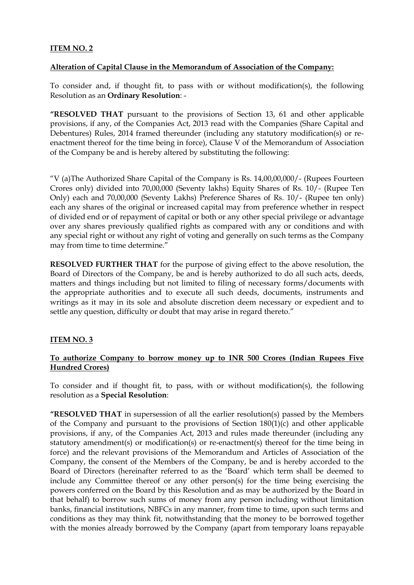# **ITEM NO. 2**

### **Alteration of Capital Clause in the Memorandum of Association of the Company:**

To consider and, if thought fit, to pass with or without modification(s), the following Resolution as an **Ordinary Resolution**: -

**"RESOLVED THAT** pursuant to the provisions of Section 13, 61 and other applicable provisions, if any, of the Companies Act, 2013 read with the Companies (Share Capital and Debentures) Rules, 2014 framed thereunder (including any statutory modification(s) or reenactment thereof for the time being in force), Clause V of the Memorandum of Association of the Company be and is hereby altered by substituting the following:

"V (a)The Authorized Share Capital of the Company is Rs. 14,00,00,000/- (Rupees Fourteen Crores only) divided into 70,00,000 (Seventy lakhs) Equity Shares of Rs. 10/- (Rupee Ten Only) each and 70,00,000 (Seventy Lakhs) Preference Shares of Rs. 10/- (Rupee ten only) each any shares of the original or increased capital may from preference whether in respect of divided end or of repayment of capital or both or any other special privilege or advantage over any shares previously qualified rights as compared with any or conditions and with any special right or without any right of voting and generally on such terms as the Company may from time to time determine."

**RESOLVED FURTHER THAT** for the purpose of giving effect to the above resolution, the Board of Directors of the Company, be and is hereby authorized to do all such acts, deeds, matters and things including but not limited to filing of necessary forms/documents with the appropriate authorities and to execute all such deeds, documents, instruments and writings as it may in its sole and absolute discretion deem necessary or expedient and to settle any question, difficulty or doubt that may arise in regard thereto."

## **ITEM NO. 3**

# **To authorize Company to borrow money up to INR 500 Crores (Indian Rupees Five Hundred Crores)**

To consider and if thought fit, to pass, with or without modification(s), the following resolution as a **Special Resolution**:

**"RESOLVED THAT** in supersession of all the earlier resolution(s) passed by the Members of the Company and pursuant to the provisions of Section 180(1)(c) and other applicable provisions, if any, of the Companies Act, 2013 and rules made thereunder (including any statutory amendment(s) or modification(s) or re-enactment(s) thereof for the time being in force) and the relevant provisions of the Memorandum and Articles of Association of the Company, the consent of the Members of the Company, be and is hereby accorded to the Board of Directors (hereinafter referred to as the "Board" which term shall be deemed to include any Committee thereof or any other person(s) for the time being exercising the powers conferred on the Board by this Resolution and as may be authorized by the Board in that behalf) to borrow such sums of money from any person including without limitation banks, financial institutions, NBFCs in any manner, from time to time, upon such terms and conditions as they may think fit, notwithstanding that the money to be borrowed together with the monies already borrowed by the Company (apart from temporary loans repayable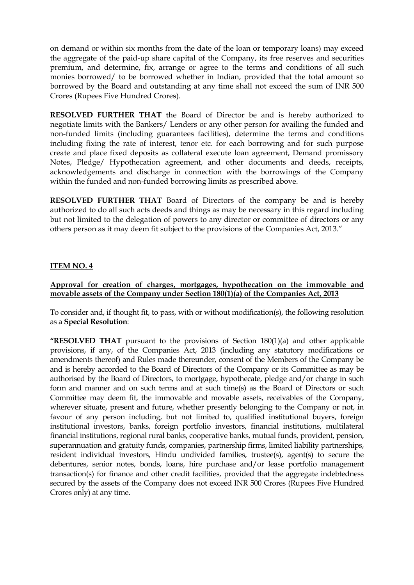on demand or within six months from the date of the loan or temporary loans) may exceed the aggregate of the paid-up share capital of the Company, its free reserves and securities premium, and determine, fix, arrange or agree to the terms and conditions of all such monies borrowed/ to be borrowed whether in Indian, provided that the total amount so borrowed by the Board and outstanding at any time shall not exceed the sum of INR 500 Crores (Rupees Five Hundred Crores).

**RESOLVED FURTHER THAT** the Board of Director be and is hereby authorized to negotiate limits with the Bankers/ Lenders or any other person for availing the funded and non-funded limits (including guarantees facilities), determine the terms and conditions including fixing the rate of interest, tenor etc. for each borrowing and for such purpose create and place fixed deposits as collateral execute loan agreement, Demand promissory Notes, Pledge/ Hypothecation agreement, and other documents and deeds, receipts, acknowledgements and discharge in connection with the borrowings of the Company within the funded and non-funded borrowing limits as prescribed above.

**RESOLVED FURTHER THAT** Board of Directors of the company be and is hereby authorized to do all such acts deeds and things as may be necessary in this regard including but not limited to the delegation of powers to any director or committee of directors or any others person as it may deem fit subject to the provisions of the Companies Act, 2013."

## **ITEM NO. 4**

## **Approval for creation of charges, mortgages, hypothecation on the immovable and movable assets of the Company under Section 180(1)(a) of the Companies Act, 2013**

To consider and, if thought fit, to pass, with or without modification(s), the following resolution as a **Special Resolution**:

**"RESOLVED THAT** pursuant to the provisions of Section 180(1)(a) and other applicable provisions, if any, of the Companies Act, 2013 (including any statutory modifications or amendments thereof) and Rules made thereunder, consent of the Members of the Company be and is hereby accorded to the Board of Directors of the Company or its Committee as may be authorised by the Board of Directors, to mortgage, hypothecate, pledge and/or charge in such form and manner and on such terms and at such time(s) as the Board of Directors or such Committee may deem fit, the immovable and movable assets, receivables of the Company, wherever situate, present and future, whether presently belonging to the Company or not, in favour of any person including, but not limited to, qualified institutional buyers, foreign institutional investors, banks, foreign portfolio investors, financial institutions, multilateral financial institutions, regional rural banks, cooperative banks, mutual funds, provident, pension, superannuation and gratuity funds, companies, partnership firms, limited liability partnerships, resident individual investors, Hindu undivided families, trustee(s), agent(s) to secure the debentures, senior notes, bonds, loans, hire purchase and/or lease portfolio management transaction(s) for finance and other credit facilities, provided that the aggregate indebtedness secured by the assets of the Company does not exceed INR 500 Crores (Rupees Five Hundred Crores only) at any time.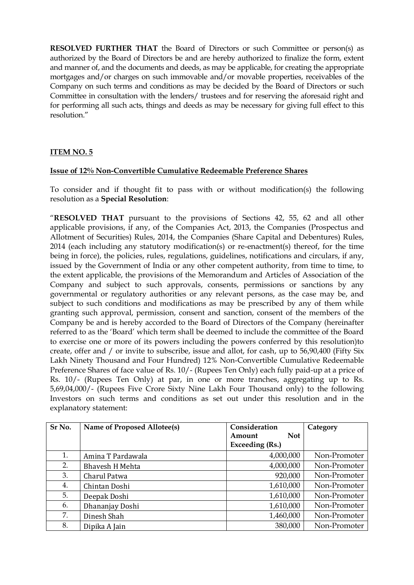**RESOLVED FURTHER THAT** the Board of Directors or such Committee or person(s) as authorized by the Board of Directors be and are hereby authorized to finalize the form, extent and manner of, and the documents and deeds, as may be applicable, for creating the appropriate mortgages and/or charges on such immovable and/or movable properties, receivables of the Company on such terms and conditions as may be decided by the Board of Directors or such Committee in consultation with the lenders/ trustees and for reserving the aforesaid right and for performing all such acts, things and deeds as may be necessary for giving full effect to this resolution."

# **ITEM NO. 5**

### **Issue of 12% Non-Convertible Cumulative Redeemable Preference Shares**

To consider and if thought fit to pass with or without modification(s) the following resolution as a **Special Resolution**:

"**RESOLVED THAT** pursuant to the provisions of Sections 42, 55, 62 and all other applicable provisions, if any, of the Companies Act, 2013, the Companies (Prospectus and Allotment of Securities) Rules, 2014, the Companies (Share Capital and Debentures) Rules, 2014 (each including any statutory modification(s) or re-enactment(s) thereof, for the time being in force), the policies, rules, regulations, guidelines, notifications and circulars, if any, issued by the Government of India or any other competent authority, from time to time, to the extent applicable, the provisions of the Memorandum and Articles of Association of the Company and subject to such approvals, consents, permissions or sanctions by any governmental or regulatory authorities or any relevant persons, as the case may be, and subject to such conditions and modifications as may be prescribed by any of them while granting such approval, permission, consent and sanction, consent of the members of the Company be and is hereby accorded to the Board of Directors of the Company (hereinafter referred to as the "Board" which term shall be deemed to include the committee of the Board to exercise one or more of its powers including the powers conferred by this resolution)to create, offer and / or invite to subscribe, issue and allot, for cash, up to 56,90,400 (Fifty Six Lakh Ninety Thousand and Four Hundred) 12% Non-Convertible Cumulative Redeemable Preference Shares of face value of Rs. 10/- (Rupees Ten Only) each fully paid-up at a price of Rs. 10/- (Rupees Ten Only) at par, in one or more tranches, aggregating up to Rs. 5,69,04,000/- (Rupees Five Crore Sixty Nine Lakh Four Thousand only) to the following Investors on such terms and conditions as set out under this resolution and in the explanatory statement:

| Sr No. | Name of Proposed Allotee(s) | Consideration        | Category     |
|--------|-----------------------------|----------------------|--------------|
|        |                             | <b>Not</b><br>Amount |              |
|        |                             | Exceeding (Rs.)      |              |
| 1.     | Amina T Pardawala           | 4,000,000            | Non-Promoter |
| 2.     | <b>Bhavesh H Mehta</b>      | 4,000,000            | Non-Promoter |
| 3.     | Charul Patwa                | 920,000              | Non-Promoter |
| 4.     | Chintan Doshi               | 1,610,000            | Non-Promoter |
| 5.     | Deepak Doshi                | 1,610,000            | Non-Promoter |
| 6.     | Dhananjay Doshi             | 1,610,000            | Non-Promoter |
| 7.     | Dinesh Shah                 | 1,460,000            | Non-Promoter |
| 8.     | Dipika A Jain               | 380,000              | Non-Promoter |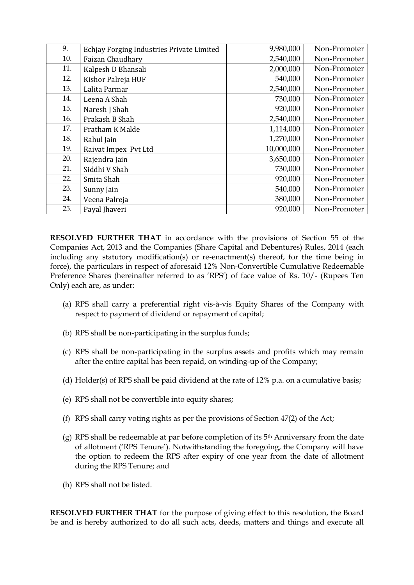| 9.  | Echjay Forging Industries Private Limited | 9,980,000  | Non-Promoter |
|-----|-------------------------------------------|------------|--------------|
| 10. | Faizan Chaudhary                          | 2,540,000  | Non-Promoter |
| 11. | Kalpesh D Bhansali                        | 2,000,000  | Non-Promoter |
| 12. | Kishor Palreja HUF                        | 540,000    | Non-Promoter |
| 13. | Lalita Parmar                             | 2,540,000  | Non-Promoter |
| 14. | Leena A Shah                              | 730,000    | Non-Promoter |
| 15. | Naresh J Shah                             | 920,000    | Non-Promoter |
| 16. | Prakash B Shah                            | 2,540,000  | Non-Promoter |
| 17. | Pratham K Malde                           | 1,114,000  | Non-Promoter |
| 18. | Rahul Jain                                | 1,270,000  | Non-Promoter |
| 19. | Raivat Impex Pvt Ltd                      | 10,000,000 | Non-Promoter |
| 20. | Rajendra Jain                             | 3,650,000  | Non-Promoter |
| 21. | Siddhi V Shah                             | 730,000    | Non-Promoter |
| 22. | Smita Shah                                | 920,000    | Non-Promoter |
| 23. | Sunny Jain                                | 540,000    | Non-Promoter |
| 24. | Veena Palreja                             | 380,000    | Non-Promoter |
| 25. | Payal Jhaveri                             | 920,000    | Non-Promoter |

**RESOLVED FURTHER THAT** in accordance with the provisions of Section 55 of the Companies Act, 2013 and the Companies (Share Capital and Debentures) Rules, 2014 (each including any statutory modification(s) or re-enactment(s) thereof, for the time being in force), the particulars in respect of aforesaid 12% Non-Convertible Cumulative Redeemable Preference Shares (hereinafter referred to as 'RPS') of face value of Rs. 10/- (Rupees Ten Only) each are, as under:

- (a) RPS shall carry a preferential right vis-à-vis Equity Shares of the Company with respect to payment of dividend or repayment of capital;
- (b) RPS shall be non-participating in the surplus funds;
- (c) RPS shall be non-participating in the surplus assets and profits which may remain after the entire capital has been repaid, on winding-up of the Company;
- (d) Holder(s) of RPS shall be paid dividend at the rate of 12% p.a. on a cumulative basis;
- (e) RPS shall not be convertible into equity shares;
- (f) RPS shall carry voting rights as per the provisions of Section 47(2) of the Act;
- (g) RPS shall be redeemable at par before completion of its 5th Anniversary from the date of allotment ('RPS Tenure'). Notwithstanding the foregoing, the Company will have the option to redeem the RPS after expiry of one year from the date of allotment during the RPS Tenure; and
- (h) RPS shall not be listed.

**RESOLVED FURTHER THAT** for the purpose of giving effect to this resolution, the Board be and is hereby authorized to do all such acts, deeds, matters and things and execute all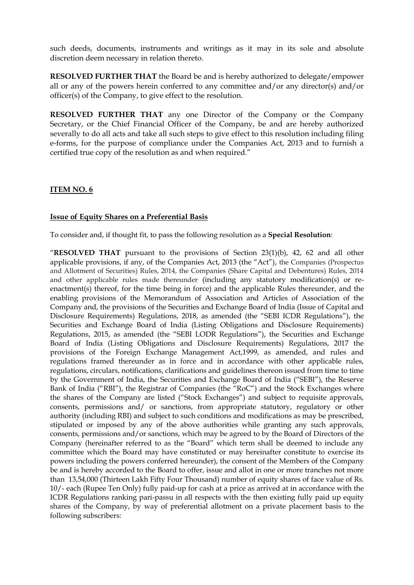such deeds, documents, instruments and writings as it may in its sole and absolute discretion deem necessary in relation thereto.

**RESOLVED FURTHER THAT** the Board be and is hereby authorized to delegate/empower all or any of the powers herein conferred to any committee and/or any director(s) and/or officer(s) of the Company, to give effect to the resolution.

**RESOLVED FURTHER THAT** any one Director of the Company or the Company Secretary, or the Chief Financial Officer of the Company, be and are hereby authorized severally to do all acts and take all such steps to give effect to this resolution including filing e-forms, for the purpose of compliance under the Companies Act, 2013 and to furnish a certified true copy of the resolution as and when required."

## **ITEM NO. 6**

### **Issue of Equity Shares on a Preferential Basis**

To consider and, if thought fit, to pass the following resolution as a **Special Resolution**:

"**RESOLVED THAT** pursuant to the provisions of Section 23(1)(b), 42, 62 and all other applicable provisions, if any, of the Companies Act, 2013 (the "Act"), the Companies (Prospectus and Allotment of Securities) Rules, 2014, the Companies (Share Capital and Debentures) Rules, 2014 and other applicable rules made thereunder (including any statutory modification(s) or reenactment(s) thereof, for the time being in force) and the applicable Rules thereunder, and the enabling provisions of the Memorandum of Association and Articles of Association of the Company and, the provisions of the Securities and Exchange Board of India (Issue of Capital and Disclosure Requirements) Regulations, 2018, as amended (the "SEBI ICDR Regulations"), the Securities and Exchange Board of India (Listing Obligations and Disclosure Requirements) Regulations, 2015, as amended (the "SEBI LODR Regulations"), the Securities and Exchange Board of India (Listing Obligations and Disclosure Requirements) Regulations, 2017 the provisions of the Foreign Exchange Management Act,1999, as amended, and rules and regulations framed thereunder as in force and in accordance with other applicable rules, regulations, circulars, notifications, clarifications and guidelines thereon issued from time to time by the Government of India, the Securities and Exchange Board of India ("SEBI"), the Reserve Bank of India ("RBI"), the Registrar of Companies (the "RoC") and the Stock Exchanges where the shares of the Company are listed ("Stock Exchanges") and subject to requisite approvals, consents, permissions and/ or sanctions, from appropriate statutory, regulatory or other authority (including RBI) and subject to such conditions and modifications as may be prescribed, stipulated or imposed by any of the above authorities while granting any such approvals, consents, permissions and/or sanctions, which may be agreed to by the Board of Directors of the Company (hereinafter referred to as the "Board" which term shall be deemed to include any committee which the Board may have constituted or may hereinafter constitute to exercise its powers including the powers conferred hereunder), the consent of the Members of the Company be and is hereby accorded to the Board to offer, issue and allot in one or more tranches not more than 13,54,000 (Thirteen Lakh Fifty Four Thousand) number of equity shares of face value of Rs. 10/- each (Rupee Ten Only) fully paid-up for cash at a price as arrived at in accordance with the ICDR Regulations ranking pari-passu in all respects with the then existing fully paid up equity shares of the Company, by way of preferential allotment on a private placement basis to the following subscribers: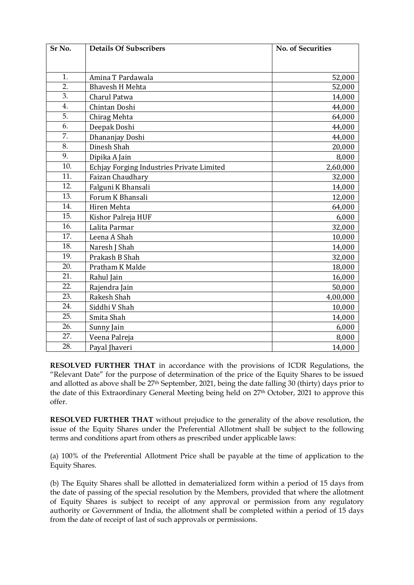| Sr No. | <b>Details Of Subscribers</b>             | <b>No. of Securities</b> |
|--------|-------------------------------------------|--------------------------|
|        |                                           |                          |
|        |                                           |                          |
| 1.     | Amina T Pardawala                         | 52,000                   |
| 2.     | <b>Bhavesh H Mehta</b>                    | 52,000                   |
| 3.     | Charul Patwa                              | 14,000                   |
| 4.     | Chintan Doshi                             | 44,000                   |
| 5.     | Chirag Mehta                              | 64,000                   |
| 6.     | Deepak Doshi                              | 44,000                   |
| 7.     | Dhananjay Doshi                           | 44,000                   |
| 8.     | Dinesh Shah                               | 20,000                   |
| 9.     | Dipika A Jain                             | 8,000                    |
| 10.    | Echjay Forging Industries Private Limited | 2,60,000                 |
| 11.    | Faizan Chaudhary                          | 32,000                   |
| 12.    | Falguni K Bhansali                        | 14,000                   |
| 13.    | Forum K Bhansali                          | 12,000                   |
| 14.    | Hiren Mehta                               | 64,000                   |
| 15.    | Kishor Palreja HUF                        | 6,000                    |
| 16.    | Lalita Parmar                             | 32,000                   |
| 17.    | Leena A Shah                              | 10,000                   |
| 18.    | Naresh J Shah                             | 14,000                   |
| 19.    | Prakash B Shah                            | 32,000                   |
| 20.    | Pratham K Malde                           | 18,000                   |
| 21.    | Rahul Jain                                | 16,000                   |
| 22.    | Rajendra Jain                             | 50,000                   |
| 23.    | Rakesh Shah                               | 4,00,000                 |
| 24.    | Siddhi V Shah                             | 10,000                   |
| 25.    | Smita Shah                                | 14,000                   |
| 26.    | Sunny Jain                                | 6,000                    |
| 27.    | Veena Palreja                             | 8,000                    |
| 28.    | Payal Jhaveri                             | 14,000                   |

**RESOLVED FURTHER THAT** in accordance with the provisions of ICDR Regulations, the "Relevant Date" for the purpose of determination of the price of the Equity Shares to be issued and allotted as above shall be 27th September, 2021, being the date falling 30 (thirty) days prior to the date of this Extraordinary General Meeting being held on 27th October, 2021 to approve this offer.

**RESOLVED FURTHER THAT** without prejudice to the generality of the above resolution, the issue of the Equity Shares under the Preferential Allotment shall be subject to the following terms and conditions apart from others as prescribed under applicable laws:

(a) 100% of the Preferential Allotment Price shall be payable at the time of application to the Equity Shares.

(b) The Equity Shares shall be allotted in dematerialized form within a period of 15 days from the date of passing of the special resolution by the Members, provided that where the allotment of Equity Shares is subject to receipt of any approval or permission from any regulatory authority or Government of India, the allotment shall be completed within a period of 15 days from the date of receipt of last of such approvals or permissions.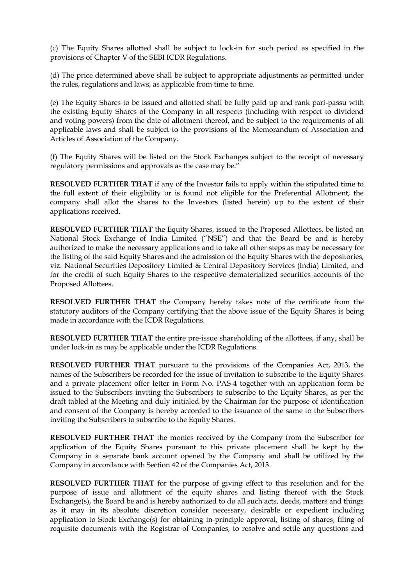(c) The Equity Shares allotted shall be subject to lock-in for such period as specified in the provisions of Chapter V of the SEBI ICDR Regulations.

(d) The price determined above shall be subject to appropriate adjustments as permitted under the rules, regulations and laws, as applicable from time to time.

(e) The Equity Shares to be issued and allotted shall be fully paid up and rank pari-passu with the existing Equity Shares of the Company in all respects (including with respect to dividend and voting powers) from the date of allotment thereof, and be subject to the requirements of all applicable laws and shall be subject to the provisions of the Memorandum of Association and Articles of Association of the Company.

(f) The Equity Shares will be listed on the Stock Exchanges subject to the receipt of necessary regulatory permissions and approvals as the case may be."

**RESOLVED FURTHER THAT** if any of the Investor fails to apply within the stipulated time to the full extent of their eligibility or is found not eligible for the Preferential Allotment, the company shall allot the shares to the Investors (listed herein) up to the extent of their applications received.

**RESOLVED FURTHER THAT** the Equity Shares, issued to the Proposed Allottees, be listed on National Stock Exchange of India Limited ("NSE") and that the Board be and is hereby authorized to make the necessary applications and to take all other steps as may be necessary for the listing of the said Equity Shares and the admission of the Equity Shares with the depositories, viz. National Securities Depository Limited & Central Depository Services (India) Limited, and for the credit of such Equity Shares to the respective dematerialized securities accounts of the Proposed Allottees.

**RESOLVED FURTHER THAT** the Company hereby takes note of the certificate from the statutory auditors of the Company certifying that the above issue of the Equity Shares is being made in accordance with the ICDR Regulations.

**RESOLVED FURTHER THAT** the entire pre-issue shareholding of the allottees, if any, shall be under lock-in as may be applicable under the ICDR Regulations.

**RESOLVED FURTHER THAT** pursuant to the provisions of the Companies Act, 2013, the names of the Subscribers be recorded for the issue of invitation to subscribe to the Equity Shares and a private placement offer letter in Form No. PAS-4 together with an application form be issued to the Subscribers inviting the Subscribers to subscribe to the Equity Shares, as per the draft tabled at the Meeting and duly initialed by the Chairman for the purpose of identification and consent of the Company is hereby accorded to the issuance of the same to the Subscribers inviting the Subscribers to subscribe to the Equity Shares.

**RESOLVED FURTHER THAT** the monies received by the Company from the Subscriber for application of the Equity Shares pursuant to this private placement shall be kept by the Company in a separate bank account opened by the Company and shall be utilized by the Company in accordance with Section 42 of the Companies Act, 2013.

**RESOLVED FURTHER THAT** for the purpose of giving effect to this resolution and for the purpose of issue and allotment of the equity shares and listing thereof with the Stock Exchange(s), the Board be and is hereby authorized to do all such acts, deeds, matters and things as it may in its absolute discretion consider necessary, desirable or expedient including application to Stock Exchange(s) for obtaining in-principle approval, listing of shares, filing of requisite documents with the Registrar of Companies, to resolve and settle any questions and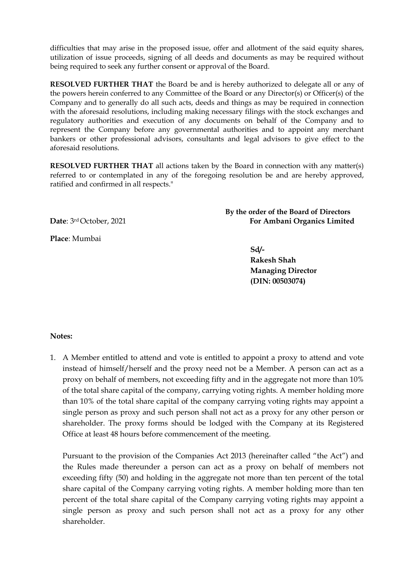difficulties that may arise in the proposed issue, offer and allotment of the said equity shares, utilization of issue proceeds, signing of all deeds and documents as may be required without being required to seek any further consent or approval of the Board.

**RESOLVED FURTHER THAT** the Board be and is hereby authorized to delegate all or any of the powers herein conferred to any Committee of the Board or any Director(s) or Officer(s) of the Company and to generally do all such acts, deeds and things as may be required in connection with the aforesaid resolutions, including making necessary filings with the stock exchanges and regulatory authorities and execution of any documents on behalf of the Company and to represent the Company before any governmental authorities and to appoint any merchant bankers or other professional advisors, consultants and legal advisors to give effect to the aforesaid resolutions.

**RESOLVED FURTHER THAT** all actions taken by the Board in connection with any matter(s) referred to or contemplated in any of the foregoing resolution be and are hereby approved, ratified and confirmed in all respects."

**Place**: Mumbai

**By the order of the Board of Directors Date**: 3rd October, 2021 **For Ambani Organics Limited**

**Sd/-**

**Rakesh Shah Managing Director (DIN: 00503074)**

**Notes:** 

1. A Member entitled to attend and vote is entitled to appoint a proxy to attend and vote instead of himself/herself and the proxy need not be a Member. A person can act as a proxy on behalf of members, not exceeding fifty and in the aggregate not more than 10% of the total share capital of the company, carrying voting rights. A member holding more than 10% of the total share capital of the company carrying voting rights may appoint a single person as proxy and such person shall not act as a proxy for any other person or shareholder. The proxy forms should be lodged with the Company at its Registered Office at least 48 hours before commencement of the meeting.

Pursuant to the provision of the Companies Act 2013 (hereinafter called "the Act") and the Rules made thereunder a person can act as a proxy on behalf of members not exceeding fifty (50) and holding in the aggregate not more than ten percent of the total share capital of the Company carrying voting rights. A member holding more than ten percent of the total share capital of the Company carrying voting rights may appoint a single person as proxy and such person shall not act as a proxy for any other shareholder.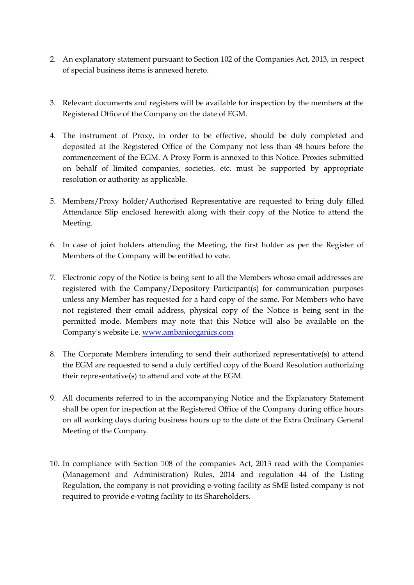- 2. An explanatory statement pursuant to Section 102 of the Companies Act, 2013, in respect of special business items is annexed hereto.
- 3. Relevant documents and registers will be available for inspection by the members at the Registered Office of the Company on the date of EGM.
- 4. The instrument of Proxy, in order to be effective, should be duly completed and deposited at the Registered Office of the Company not less than 48 hours before the commencement of the EGM. A Proxy Form is annexed to this Notice. Proxies submitted on behalf of limited companies, societies, etc. must be supported by appropriate resolution or authority as applicable.
- 5. Members/Proxy holder/Authorised Representative are requested to bring duly filled Attendance Slip enclosed herewith along with their copy of the Notice to attend the Meeting.
- 6. In case of joint holders attending the Meeting, the first holder as per the Register of Members of the Company will be entitled to vote.
- 7. Electronic copy of the Notice is being sent to all the Members whose email addresses are registered with the Company/Depository Participant(s) for communication purposes unless any Member has requested for a hard copy of the same. For Members who have not registered their email address, physical copy of the Notice is being sent in the permitted mode. Members may note that this Notice will also be available on the Company's website i.e. [www.ambaniorganics.com](http://www.ambaniorganics.com/)
- 8. The Corporate Members intending to send their authorized representative(s) to attend the EGM are requested to send a duly certified copy of the Board Resolution authorizing their representative(s) to attend and vote at the EGM.
- 9. All documents referred to in the accompanying Notice and the Explanatory Statement shall be open for inspection at the Registered Office of the Company during office hours on all working days during business hours up to the date of the Extra Ordinary General Meeting of the Company.
- 10. In compliance with Section 108 of the companies Act, 2013 read with the Companies (Management and Administration) Rules, 2014 and regulation 44 of the Listing Regulation, the company is not providing e-voting facility as SME listed company is not required to provide e-voting facility to its Shareholders.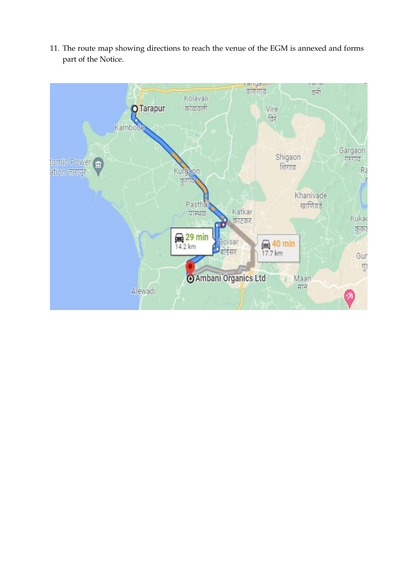- vanyayı<br>|वाणगाव ano  $\frac{1}{\sigma}$ Kolavali **O**Tarapur कोळवली Vire विरे Kambo Gargaon<br>गरगाव Shigaon tomic Power<br>ation तारापूर... शिगाव Ra Kurga कग Khanivade Pastha खाणिवडे Katkar पास्थळ Küka काटकर कुकड़  $\bigoplus_{14.2 \text{ km}} 29 \text{ min}$ oisar  $\bigoplus_{17.7 \text{ km}} 40 \text{ min}$ डिसर Gur Ţ Ambani Organics Ltd Maan मान Alewadi
- 11. The route map showing directions to reach the venue of the EGM is annexed and forms part of the Notice.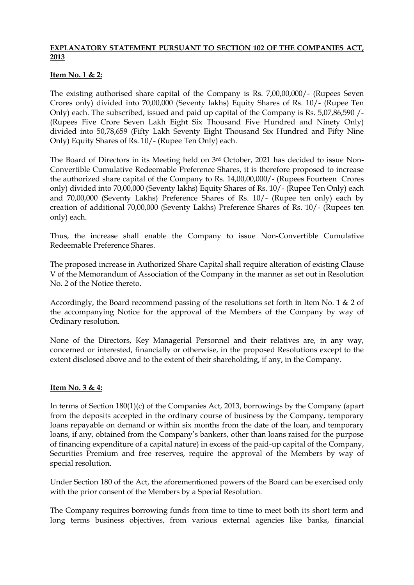## **EXPLANATORY STATEMENT PURSUANT TO SECTION 102 OF THE COMPANIES ACT, 2013**

## **Item No. 1 & 2:**

The existing authorised share capital of the Company is Rs. 7,00,00,000/- (Rupees Seven Crores only) divided into 70,00,000 (Seventy lakhs) Equity Shares of Rs. 10/- (Rupee Ten Only) each. The subscribed, issued and paid up capital of the Company is Rs. 5,07,86,590 /- (Rupees Five Crore Seven Lakh Eight Six Thousand Five Hundred and Ninety Only) divided into 50,78,659 (Fifty Lakh Seventy Eight Thousand Six Hundred and Fifty Nine Only) Equity Shares of Rs. 10/- (Rupee Ten Only) each.

The Board of Directors in its Meeting held on 3rd October, 2021 has decided to issue Non-Convertible Cumulative Redeemable Preference Shares, it is therefore proposed to increase the authorized share capital of the Company to Rs. 14,00,00,000/- (Rupees Fourteen Crores only) divided into 70,00,000 (Seventy lakhs) Equity Shares of Rs. 10/- (Rupee Ten Only) each and 70,00,000 (Seventy Lakhs) Preference Shares of Rs. 10/- (Rupee ten only) each by creation of additional 70,00,000 (Seventy Lakhs) Preference Shares of Rs. 10/- (Rupees ten only) each.

Thus, the increase shall enable the Company to issue Non-Convertible Cumulative Redeemable Preference Shares.

The proposed increase in Authorized Share Capital shall require alteration of existing Clause V of the Memorandum of Association of the Company in the manner as set out in Resolution No. 2 of the Notice thereto.

Accordingly, the Board recommend passing of the resolutions set forth in Item No. 1 & 2 of the accompanying Notice for the approval of the Members of the Company by way of Ordinary resolution.

None of the Directors, Key Managerial Personnel and their relatives are, in any way, concerned or interested, financially or otherwise, in the proposed Resolutions except to the extent disclosed above and to the extent of their shareholding, if any, in the Company.

## **Item No. 3 & 4:**

In terms of Section 180(1)(c) of the Companies Act, 2013, borrowings by the Company (apart from the deposits accepted in the ordinary course of business by the Company, temporary loans repayable on demand or within six months from the date of the loan, and temporary loans, if any, obtained from the Company's bankers, other than loans raised for the purpose of financing expenditure of a capital nature) in excess of the paid-up capital of the Company, Securities Premium and free reserves, require the approval of the Members by way of special resolution.

Under Section 180 of the Act, the aforementioned powers of the Board can be exercised only with the prior consent of the Members by a Special Resolution.

The Company requires borrowing funds from time to time to meet both its short term and long terms business objectives, from various external agencies like banks, financial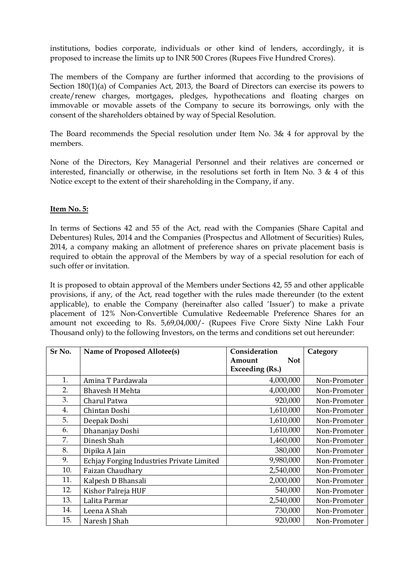institutions, bodies corporate, individuals or other kind of lenders, accordingly, it is proposed to increase the limits up to INR 500 Crores (Rupees Five Hundred Crores).

The members of the Company are further informed that according to the provisions of Section 180(1)(a) of Companies Act, 2013, the Board of Directors can exercise its powers to create/renew charges, mortgages, pledges, hypothecations and floating charges on immovable or movable assets of the Company to secure its borrowings, only with the consent of the shareholders obtained by way of Special Resolution.

The Board recommends the Special resolution under Item No. 3& 4 for approval by the members.

None of the Directors, Key Managerial Personnel and their relatives are concerned or interested, financially or otherwise, in the resolutions set forth in Item No. 3 & 4 of this Notice except to the extent of their shareholding in the Company, if any.

## **Item No. 5:**

In terms of Sections 42 and 55 of the Act, read with the Companies (Share Capital and Debentures) Rules, 2014 and the Companies (Prospectus and Allotment of Securities) Rules, 2014, a company making an allotment of preference shares on private placement basis is required to obtain the approval of the Members by way of a special resolution for each of such offer or invitation.

It is proposed to obtain approval of the Members under Sections 42, 55 and other applicable provisions, if any, of the Act, read together with the rules made thereunder (to the extent applicable), to enable the Company (hereinafter also called 'Issuer') to make a private placement of 12% Non-Convertible Cumulative Redeemable Preference Shares for an amount not exceeding to Rs. 5,69,04,000/- (Rupees Five Crore Sixty Nine Lakh Four Thousand only) to the following Investors, on the terms and conditions set out hereunder:

| Sr No. | Name of Proposed Allotee(s)               | Consideration        | Category     |
|--------|-------------------------------------------|----------------------|--------------|
|        |                                           | <b>Not</b><br>Amount |              |
|        |                                           | Exceeding (Rs.)      |              |
| 1.     | Amina T Pardawala                         | 4,000,000            | Non-Promoter |
| 2.     | <b>Bhavesh H Mehta</b>                    | 4,000,000            | Non-Promoter |
| 3.     | Charul Patwa                              | 920,000              | Non-Promoter |
| 4.     | Chintan Doshi                             | 1,610,000            | Non-Promoter |
| 5.     | Deepak Doshi                              | 1,610,000            | Non-Promoter |
| 6.     | Dhananjay Doshi                           | 1,610,000            | Non-Promoter |
| 7.     | Dinesh Shah                               | 1,460,000            | Non-Promoter |
| 8.     | Dipika A Jain                             | 380,000              | Non-Promoter |
| 9.     | Echjay Forging Industries Private Limited | 9,980,000            | Non-Promoter |
| 10.    | Faizan Chaudhary                          | 2,540,000            | Non-Promoter |
| 11.    | Kalpesh D Bhansali                        | 2,000,000            | Non-Promoter |
| 12.    | Kishor Palreja HUF                        | 540,000              | Non-Promoter |
| 13.    | Lalita Parmar                             | 2,540,000            | Non-Promoter |
| 14.    | Leena A Shah                              | 730,000              | Non-Promoter |
| 15.    | Naresh J Shah                             | 920,000              | Non-Promoter |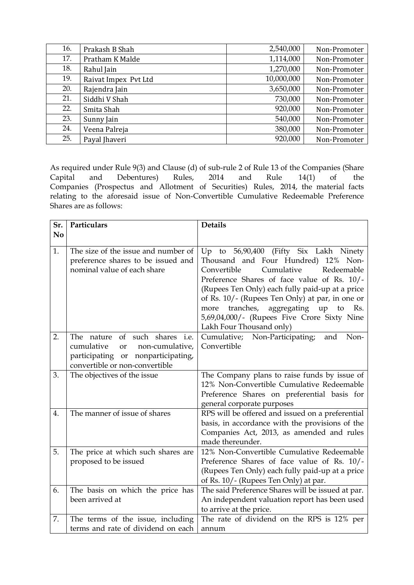| 16. | Prakash B Shah       | 2,540,000  | Non-Promoter |
|-----|----------------------|------------|--------------|
| 17. | Pratham K Malde      | 1,114,000  | Non-Promoter |
| 18. | Rahul Jain           | 1,270,000  | Non-Promoter |
| 19. | Raivat Impex Pvt Ltd | 10,000,000 | Non-Promoter |
| 20. | Rajendra Jain        | 3,650,000  | Non-Promoter |
| 21. | Siddhi V Shah        | 730,000    | Non-Promoter |
| 22. | Smita Shah           | 920,000    | Non-Promoter |
| 23. | Sunny Jain           | 540,000    | Non-Promoter |
| 24. | Veena Palreja        | 380,000    | Non-Promoter |
| 25. | Payal Jhaveri        | 920,000    | Non-Promoter |

As required under Rule 9(3) and Clause (d) of sub-rule 2 of Rule 13 of the Companies (Share Capital and Debentures) Rules, 2014 and Rule 14(1) of the and Debentures) Rules, 2014 and Rule 14(1) of the Companies (Prospectus and Allotment of Securities) Rules, 2014, the material facts relating to the aforesaid issue of Non-Convertible Cumulative Redeemable Preference Shares are as follows:

| Sr.            | Particulars                                                                                                                                                         | <b>Details</b>                                                                                                                                                                                                                                                                                                                                                                                      |
|----------------|---------------------------------------------------------------------------------------------------------------------------------------------------------------------|-----------------------------------------------------------------------------------------------------------------------------------------------------------------------------------------------------------------------------------------------------------------------------------------------------------------------------------------------------------------------------------------------------|
| N <sub>0</sub> |                                                                                                                                                                     |                                                                                                                                                                                                                                                                                                                                                                                                     |
| 1.             | The size of the issue and number of<br>preference shares to be issued and<br>nominal value of each share                                                            | Up to 56,90,400 (Fifty Six Lakh Ninety<br>Thousand and Four Hundred) 12% Non-<br>Cumulative<br>Convertible<br>Redeemable<br>Preference Shares of face value of Rs. 10/-<br>(Rupees Ten Only) each fully paid-up at a price<br>of Rs. 10/- (Rupees Ten Only) at par, in one or<br>more tranches, aggregating up to<br>Rs.<br>5,69,04,000/- (Rupees Five Crore Sixty Nine<br>Lakh Four Thousand only) |
| 2.             | of<br>such shares i.e.<br>The<br>nature<br>cumulative<br>non-cumulative,<br><b>or</b><br>participating<br>nonparticipating,<br>or<br>convertible or non-convertible | Cumulative; Non-Participating;<br>Non-<br>and<br>Convertible                                                                                                                                                                                                                                                                                                                                        |
| 3.             | The objectives of the issue                                                                                                                                         | The Company plans to raise funds by issue of<br>12% Non-Convertible Cumulative Redeemable<br>Preference Shares on preferential basis for<br>general corporate purposes                                                                                                                                                                                                                              |
| 4.             | The manner of issue of shares                                                                                                                                       | RPS will be offered and issued on a preferential<br>basis, in accordance with the provisions of the<br>Companies Act, 2013, as amended and rules<br>made thereunder.                                                                                                                                                                                                                                |
| 5.             | The price at which such shares are<br>proposed to be issued                                                                                                         | 12% Non-Convertible Cumulative Redeemable<br>Preference Shares of face value of Rs. 10/-<br>(Rupees Ten Only) each fully paid-up at a price<br>of Rs. 10/- (Rupees Ten Only) at par.                                                                                                                                                                                                                |
| 6.             | The basis on which the price has<br>been arrived at                                                                                                                 | The said Preference Shares will be issued at par.<br>An independent valuation report has been used<br>to arrive at the price.                                                                                                                                                                                                                                                                       |
| 7.             | The terms of the issue, including<br>terms and rate of dividend on each                                                                                             | The rate of dividend on the RPS is 12% per<br>annum                                                                                                                                                                                                                                                                                                                                                 |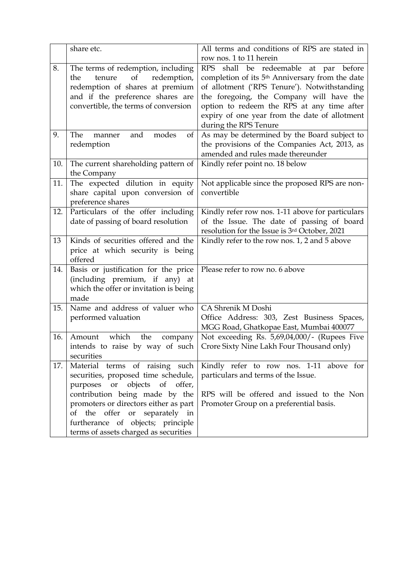|     | share etc.                                                                                                                                                                                                                                                                                                   | All terms and conditions of RPS are stated in<br>row nos. 1 to 11 herein                                                                                                                                                                                                                                                           |
|-----|--------------------------------------------------------------------------------------------------------------------------------------------------------------------------------------------------------------------------------------------------------------------------------------------------------------|------------------------------------------------------------------------------------------------------------------------------------------------------------------------------------------------------------------------------------------------------------------------------------------------------------------------------------|
| 8.  | The terms of redemption, including<br>of<br>redemption,<br>the<br>tenure<br>redemption of shares at premium<br>and if the preference shares are<br>convertible, the terms of conversion                                                                                                                      | <b>RPS</b><br>shall be redeemable at par before<br>completion of its 5 <sup>th</sup> Anniversary from the date<br>of allotment ('RPS Tenure'). Notwithstanding<br>the foregoing, the Company will have the<br>option to redeem the RPS at any time after<br>expiry of one year from the date of allotment<br>during the RPS Tenure |
| 9.  | The<br>and<br>modes<br>of<br>manner<br>redemption                                                                                                                                                                                                                                                            | As may be determined by the Board subject to<br>the provisions of the Companies Act, 2013, as<br>amended and rules made thereunder                                                                                                                                                                                                 |
| 10. | The current shareholding pattern of<br>the Company                                                                                                                                                                                                                                                           | Kindly refer point no. 18 below                                                                                                                                                                                                                                                                                                    |
| 11. | The expected dilution in equity<br>share capital upon conversion of<br>preference shares                                                                                                                                                                                                                     | Not applicable since the proposed RPS are non-<br>convertible                                                                                                                                                                                                                                                                      |
| 12. | Particulars of the offer including<br>date of passing of board resolution                                                                                                                                                                                                                                    | Kindly refer row nos. 1-11 above for particulars<br>of the Issue. The date of passing of board<br>resolution for the Issue is 3rd October, 2021                                                                                                                                                                                    |
| 13  | Kinds of securities offered and the<br>price at which security is being<br>offered                                                                                                                                                                                                                           | Kindly refer to the row nos. 1, 2 and 5 above                                                                                                                                                                                                                                                                                      |
| 14. | Basis or justification for the price<br>(including premium, if any) at<br>which the offer or invitation is being<br>made                                                                                                                                                                                     | Please refer to row no. 6 above                                                                                                                                                                                                                                                                                                    |
| 15. | Name and address of valuer who<br>performed valuation                                                                                                                                                                                                                                                        | CA Shrenik M Doshi<br>Office Address: 303, Zest Business Spaces,<br>MGG Road, Ghatkopae East, Mumbai 400077                                                                                                                                                                                                                        |
| 16. | which<br>the<br>Amount<br>company<br>intends to raise by way of such<br>securities                                                                                                                                                                                                                           | Not exceeding Rs. 5,69,04,000/- (Rupees Five<br>Crore Sixty Nine Lakh Four Thousand only)                                                                                                                                                                                                                                          |
| 17. | Material terms of raising such<br>securities, proposed time schedule,<br>objects of offer,<br>purposes or<br>contribution being made by the<br>promoters or directors either as part<br>of the<br>offer<br>separately in<br>or<br>furtherance of objects; principle<br>terms of assets charged as securities | Kindly refer to row nos. 1-11 above for<br>particulars and terms of the Issue.<br>RPS will be offered and issued to the Non<br>Promoter Group on a preferential basis.                                                                                                                                                             |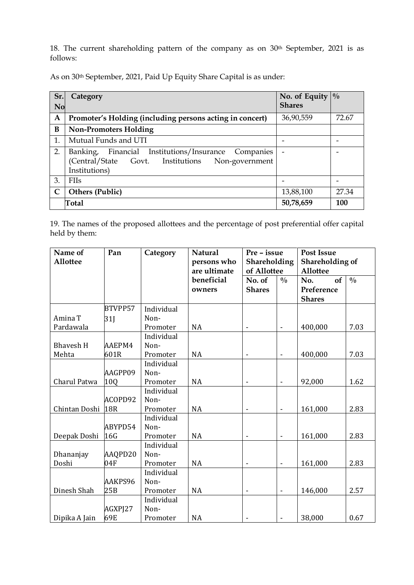18. The current shareholding pattern of the company as on 30<sup>th</sup> September, 2021 is as follows:

As on 30<sup>th</sup> September, 2021, Paid Up Equity Share Capital is as under:

| Sr.          | Category                                                                                                                                | No. of Equity | $\frac{0}{0}$ |
|--------------|-----------------------------------------------------------------------------------------------------------------------------------------|---------------|---------------|
| <b>No</b>    |                                                                                                                                         | <b>Shares</b> |               |
| A            | Promoter's Holding (including persons acting in concert)                                                                                | 36,90,559     | 72.67         |
| B            | <b>Non-Promoters Holding</b>                                                                                                            |               |               |
| 1.           | Mutual Funds and UTI                                                                                                                    |               |               |
| 2.           | Financial<br>Institutions/Insurance<br>Companies<br>Banking,<br>(Central/State<br>Govt. Institutions<br>Non-government<br>Institutions) |               |               |
| 3.           | <b>FIIs</b>                                                                                                                             |               |               |
| $\mathsf{C}$ | Others (Public)                                                                                                                         | 13,88,100     | 27.34         |
|              | Total                                                                                                                                   | 50,78,659     | 100           |

19. The names of the proposed allottees and the percentage of post preferential offer capital held by them:

| Name of          | Pan     | Category   | <b>Natural</b> | Pre - issue                  |                          | <b>Post Issue</b> |               |
|------------------|---------|------------|----------------|------------------------------|--------------------------|-------------------|---------------|
| <b>Allottee</b>  |         |            | persons who    | Shareholding                 |                          | Shareholding of   |               |
|                  |         |            | are ultimate   | of Allottee                  |                          | Allottee          |               |
|                  |         |            | beneficial     | No. of                       | $\frac{0}{0}$            | of<br>No.         | $\frac{0}{0}$ |
|                  |         |            | owners         | <b>Shares</b>                |                          | Preference        |               |
|                  |         |            |                |                              |                          | <b>Shares</b>     |               |
|                  | BTVPP57 | Individual |                |                              |                          |                   |               |
| Amina T          | 31      | Non-       |                |                              |                          |                   |               |
| Pardawala        |         | Promoter   | <b>NA</b>      |                              | $\overline{\phantom{a}}$ | 400,000           | 7.03          |
|                  |         | Individual |                |                              |                          |                   |               |
| <b>Bhavesh H</b> | AAEPM4  | Non-       |                |                              |                          |                   |               |
| Mehta            | 601R    | Promoter   | <b>NA</b>      |                              | $\blacksquare$           | 400,000           | 7.03          |
|                  |         | Individual |                |                              |                          |                   |               |
|                  | AAGPP09 | Non-       |                |                              |                          |                   |               |
| Charul Patwa     | 10Q     | Promoter   | <b>NA</b>      | $\qquad \qquad \blacksquare$ | $\blacksquare$           | 92,000            | 1.62          |
|                  |         | Individual |                |                              |                          |                   |               |
|                  | ACOPD92 | Non-       |                |                              |                          |                   |               |
| Chintan Doshi    | 18R     | Promoter   | <b>NA</b>      |                              | $\overline{a}$           | 161,000           | 2.83          |
|                  |         | Individual |                |                              |                          |                   |               |
|                  | ABYPD54 | Non-       |                |                              |                          |                   |               |
| Deepak Doshi     | 16G     | Promoter   | <b>NA</b>      | $\blacksquare$               | $\blacksquare$           | 161,000           | 2.83          |
|                  |         | Individual |                |                              |                          |                   |               |
| Dhananjay        | AAQPD20 | Non-       |                |                              |                          |                   |               |
| Doshi            | 04F     | Promoter   | <b>NA</b>      | $\overline{a}$               | $\blacksquare$           | 161,000           | 2.83          |
|                  |         | Individual |                |                              |                          |                   |               |
|                  | AAKPS96 | Non-       |                |                              |                          |                   |               |
| Dinesh Shah      | 25B     | Promoter   | <b>NA</b>      | $\overline{\phantom{a}}$     | ÷,                       | 146,000           | 2.57          |
|                  |         | Individual |                |                              |                          |                   |               |
|                  | AGXPJ27 | Non-       |                |                              |                          |                   |               |
| Dipika A Jain    | 69E     | Promoter   | <b>NA</b>      |                              | $\overline{\phantom{a}}$ | 38,000            | 0.67          |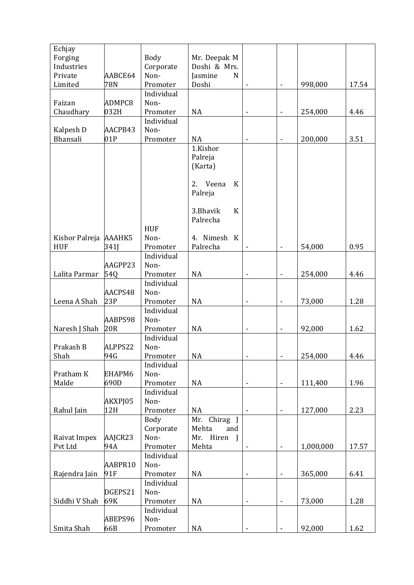| Doshi & Mrs.<br>Corporate<br>Industries<br>Private<br>AABCE64<br>Non-<br>Jasmine<br>$\mathbf N$<br>Doshi<br>78N<br>Promoter<br>998,000<br>Limited<br>17.54<br>ä,<br>Individual<br>ADMPC8<br>Non-<br>Faizan<br>032H<br>Chaudhary<br>Promoter<br><b>NA</b><br>254,000<br>4.46<br>$\blacksquare$<br>Individual<br>Kalpesh D<br>Non-<br>AACPB43<br>Bhansali<br>01P<br>Promoter<br><b>NA</b><br>3.51<br>200,000<br>$\qquad \qquad \blacksquare$<br>1.Kishor<br>Palreja<br>(Karta)<br>2. Veena<br>$\rm K$<br>Palreja<br>3.Bhavik<br>$\bf K$<br>Palrecha<br><b>HUF</b><br>Kishor Palreja AAAHK5<br>Non-<br>4. Nimesh K<br><b>HUF</b><br>0.95<br>341J<br>Palrecha<br>Promoter<br>54,000<br>ä,<br>Individual<br>AAGPP23<br>Non-<br>Lalita Parmar<br>54Q<br><b>NA</b><br>254,000<br>4.46<br>Promoter<br>$\blacksquare$<br>Individual<br>AACPS48<br>Non-<br>Leena A Shah<br>23P<br>Promoter<br><b>NA</b><br>73,000<br>1.28<br>ä,<br>Individual<br>AABPS98<br>Non-<br>Naresh J Shah<br>92,000<br>20R<br><b>NA</b><br>1.62<br>Promoter<br>$\blacksquare$<br>Individual<br>Prakash B<br>ALPPS22<br>Non-<br>Shah<br>254,000<br>94G<br><b>NA</b><br>4.46<br>Promoter<br>$\qquad \qquad \blacksquare$<br>-<br>Individual<br>Pratham K<br>EHAPM6<br>Non-<br>690D<br>NA<br>1.96<br>Malde<br>Promoter<br>111,400<br>$\blacksquare$<br>$\qquad \qquad \blacksquare$<br>Individual<br>Non-<br>AKXPJ05<br>2.23<br>Rahul Jain<br>12H<br>Promoter<br><b>NA</b><br>127,000<br>$\qquad \qquad \blacksquare$<br>$\overline{\phantom{a}}$<br><b>Body</b><br>Mr. Chirag J<br>Corporate<br>Mehta<br>and<br>Mr. Hiren J<br>Raivat Impex<br>AAJCR23<br>Non-<br>Mehta<br>Pvt Ltd<br>94A<br>1,000,000<br>17.57<br>Promoter<br>$\blacksquare$<br>Individual<br>AABPR10<br>Non-<br>365,000<br>Rajendra Jain<br>91F<br>Promoter<br><b>NA</b><br>6.41<br>$\overline{\phantom{a}}$<br>$\qquad \qquad \blacksquare$<br>Individual<br>DGEPS21<br>Non-<br>Siddhi V Shah<br>69K<br>NA<br>1.28<br>Promoter<br>73,000<br>$\blacksquare$<br>$\qquad \qquad \blacksquare$<br>Individual | Echjay  |         |      |              |  |  |
|-----------------------------------------------------------------------------------------------------------------------------------------------------------------------------------------------------------------------------------------------------------------------------------------------------------------------------------------------------------------------------------------------------------------------------------------------------------------------------------------------------------------------------------------------------------------------------------------------------------------------------------------------------------------------------------------------------------------------------------------------------------------------------------------------------------------------------------------------------------------------------------------------------------------------------------------------------------------------------------------------------------------------------------------------------------------------------------------------------------------------------------------------------------------------------------------------------------------------------------------------------------------------------------------------------------------------------------------------------------------------------------------------------------------------------------------------------------------------------------------------------------------------------------------------------------------------------------------------------------------------------------------------------------------------------------------------------------------------------------------------------------------------------------------------------------------------------------------------------------------------------------------------------------------------------------------------------------------------------------------------------------------------------------------|---------|---------|------|--------------|--|--|
|                                                                                                                                                                                                                                                                                                                                                                                                                                                                                                                                                                                                                                                                                                                                                                                                                                                                                                                                                                                                                                                                                                                                                                                                                                                                                                                                                                                                                                                                                                                                                                                                                                                                                                                                                                                                                                                                                                                                                                                                                                         | Forging |         | Body | Mr. Deepak M |  |  |
|                                                                                                                                                                                                                                                                                                                                                                                                                                                                                                                                                                                                                                                                                                                                                                                                                                                                                                                                                                                                                                                                                                                                                                                                                                                                                                                                                                                                                                                                                                                                                                                                                                                                                                                                                                                                                                                                                                                                                                                                                                         |         |         |      |              |  |  |
|                                                                                                                                                                                                                                                                                                                                                                                                                                                                                                                                                                                                                                                                                                                                                                                                                                                                                                                                                                                                                                                                                                                                                                                                                                                                                                                                                                                                                                                                                                                                                                                                                                                                                                                                                                                                                                                                                                                                                                                                                                         |         |         |      |              |  |  |
|                                                                                                                                                                                                                                                                                                                                                                                                                                                                                                                                                                                                                                                                                                                                                                                                                                                                                                                                                                                                                                                                                                                                                                                                                                                                                                                                                                                                                                                                                                                                                                                                                                                                                                                                                                                                                                                                                                                                                                                                                                         |         |         |      |              |  |  |
|                                                                                                                                                                                                                                                                                                                                                                                                                                                                                                                                                                                                                                                                                                                                                                                                                                                                                                                                                                                                                                                                                                                                                                                                                                                                                                                                                                                                                                                                                                                                                                                                                                                                                                                                                                                                                                                                                                                                                                                                                                         |         |         |      |              |  |  |
|                                                                                                                                                                                                                                                                                                                                                                                                                                                                                                                                                                                                                                                                                                                                                                                                                                                                                                                                                                                                                                                                                                                                                                                                                                                                                                                                                                                                                                                                                                                                                                                                                                                                                                                                                                                                                                                                                                                                                                                                                                         |         |         |      |              |  |  |
|                                                                                                                                                                                                                                                                                                                                                                                                                                                                                                                                                                                                                                                                                                                                                                                                                                                                                                                                                                                                                                                                                                                                                                                                                                                                                                                                                                                                                                                                                                                                                                                                                                                                                                                                                                                                                                                                                                                                                                                                                                         |         |         |      |              |  |  |
|                                                                                                                                                                                                                                                                                                                                                                                                                                                                                                                                                                                                                                                                                                                                                                                                                                                                                                                                                                                                                                                                                                                                                                                                                                                                                                                                                                                                                                                                                                                                                                                                                                                                                                                                                                                                                                                                                                                                                                                                                                         |         |         |      |              |  |  |
|                                                                                                                                                                                                                                                                                                                                                                                                                                                                                                                                                                                                                                                                                                                                                                                                                                                                                                                                                                                                                                                                                                                                                                                                                                                                                                                                                                                                                                                                                                                                                                                                                                                                                                                                                                                                                                                                                                                                                                                                                                         |         |         |      |              |  |  |
|                                                                                                                                                                                                                                                                                                                                                                                                                                                                                                                                                                                                                                                                                                                                                                                                                                                                                                                                                                                                                                                                                                                                                                                                                                                                                                                                                                                                                                                                                                                                                                                                                                                                                                                                                                                                                                                                                                                                                                                                                                         |         |         |      |              |  |  |
|                                                                                                                                                                                                                                                                                                                                                                                                                                                                                                                                                                                                                                                                                                                                                                                                                                                                                                                                                                                                                                                                                                                                                                                                                                                                                                                                                                                                                                                                                                                                                                                                                                                                                                                                                                                                                                                                                                                                                                                                                                         |         |         |      |              |  |  |
|                                                                                                                                                                                                                                                                                                                                                                                                                                                                                                                                                                                                                                                                                                                                                                                                                                                                                                                                                                                                                                                                                                                                                                                                                                                                                                                                                                                                                                                                                                                                                                                                                                                                                                                                                                                                                                                                                                                                                                                                                                         |         |         |      |              |  |  |
|                                                                                                                                                                                                                                                                                                                                                                                                                                                                                                                                                                                                                                                                                                                                                                                                                                                                                                                                                                                                                                                                                                                                                                                                                                                                                                                                                                                                                                                                                                                                                                                                                                                                                                                                                                                                                                                                                                                                                                                                                                         |         |         |      |              |  |  |
|                                                                                                                                                                                                                                                                                                                                                                                                                                                                                                                                                                                                                                                                                                                                                                                                                                                                                                                                                                                                                                                                                                                                                                                                                                                                                                                                                                                                                                                                                                                                                                                                                                                                                                                                                                                                                                                                                                                                                                                                                                         |         |         |      |              |  |  |
|                                                                                                                                                                                                                                                                                                                                                                                                                                                                                                                                                                                                                                                                                                                                                                                                                                                                                                                                                                                                                                                                                                                                                                                                                                                                                                                                                                                                                                                                                                                                                                                                                                                                                                                                                                                                                                                                                                                                                                                                                                         |         |         |      |              |  |  |
|                                                                                                                                                                                                                                                                                                                                                                                                                                                                                                                                                                                                                                                                                                                                                                                                                                                                                                                                                                                                                                                                                                                                                                                                                                                                                                                                                                                                                                                                                                                                                                                                                                                                                                                                                                                                                                                                                                                                                                                                                                         |         |         |      |              |  |  |
|                                                                                                                                                                                                                                                                                                                                                                                                                                                                                                                                                                                                                                                                                                                                                                                                                                                                                                                                                                                                                                                                                                                                                                                                                                                                                                                                                                                                                                                                                                                                                                                                                                                                                                                                                                                                                                                                                                                                                                                                                                         |         |         |      |              |  |  |
|                                                                                                                                                                                                                                                                                                                                                                                                                                                                                                                                                                                                                                                                                                                                                                                                                                                                                                                                                                                                                                                                                                                                                                                                                                                                                                                                                                                                                                                                                                                                                                                                                                                                                                                                                                                                                                                                                                                                                                                                                                         |         |         |      |              |  |  |
|                                                                                                                                                                                                                                                                                                                                                                                                                                                                                                                                                                                                                                                                                                                                                                                                                                                                                                                                                                                                                                                                                                                                                                                                                                                                                                                                                                                                                                                                                                                                                                                                                                                                                                                                                                                                                                                                                                                                                                                                                                         |         |         |      |              |  |  |
|                                                                                                                                                                                                                                                                                                                                                                                                                                                                                                                                                                                                                                                                                                                                                                                                                                                                                                                                                                                                                                                                                                                                                                                                                                                                                                                                                                                                                                                                                                                                                                                                                                                                                                                                                                                                                                                                                                                                                                                                                                         |         |         |      |              |  |  |
|                                                                                                                                                                                                                                                                                                                                                                                                                                                                                                                                                                                                                                                                                                                                                                                                                                                                                                                                                                                                                                                                                                                                                                                                                                                                                                                                                                                                                                                                                                                                                                                                                                                                                                                                                                                                                                                                                                                                                                                                                                         |         |         |      |              |  |  |
|                                                                                                                                                                                                                                                                                                                                                                                                                                                                                                                                                                                                                                                                                                                                                                                                                                                                                                                                                                                                                                                                                                                                                                                                                                                                                                                                                                                                                                                                                                                                                                                                                                                                                                                                                                                                                                                                                                                                                                                                                                         |         |         |      |              |  |  |
|                                                                                                                                                                                                                                                                                                                                                                                                                                                                                                                                                                                                                                                                                                                                                                                                                                                                                                                                                                                                                                                                                                                                                                                                                                                                                                                                                                                                                                                                                                                                                                                                                                                                                                                                                                                                                                                                                                                                                                                                                                         |         |         |      |              |  |  |
|                                                                                                                                                                                                                                                                                                                                                                                                                                                                                                                                                                                                                                                                                                                                                                                                                                                                                                                                                                                                                                                                                                                                                                                                                                                                                                                                                                                                                                                                                                                                                                                                                                                                                                                                                                                                                                                                                                                                                                                                                                         |         |         |      |              |  |  |
|                                                                                                                                                                                                                                                                                                                                                                                                                                                                                                                                                                                                                                                                                                                                                                                                                                                                                                                                                                                                                                                                                                                                                                                                                                                                                                                                                                                                                                                                                                                                                                                                                                                                                                                                                                                                                                                                                                                                                                                                                                         |         |         |      |              |  |  |
|                                                                                                                                                                                                                                                                                                                                                                                                                                                                                                                                                                                                                                                                                                                                                                                                                                                                                                                                                                                                                                                                                                                                                                                                                                                                                                                                                                                                                                                                                                                                                                                                                                                                                                                                                                                                                                                                                                                                                                                                                                         |         |         |      |              |  |  |
|                                                                                                                                                                                                                                                                                                                                                                                                                                                                                                                                                                                                                                                                                                                                                                                                                                                                                                                                                                                                                                                                                                                                                                                                                                                                                                                                                                                                                                                                                                                                                                                                                                                                                                                                                                                                                                                                                                                                                                                                                                         |         |         |      |              |  |  |
|                                                                                                                                                                                                                                                                                                                                                                                                                                                                                                                                                                                                                                                                                                                                                                                                                                                                                                                                                                                                                                                                                                                                                                                                                                                                                                                                                                                                                                                                                                                                                                                                                                                                                                                                                                                                                                                                                                                                                                                                                                         |         |         |      |              |  |  |
|                                                                                                                                                                                                                                                                                                                                                                                                                                                                                                                                                                                                                                                                                                                                                                                                                                                                                                                                                                                                                                                                                                                                                                                                                                                                                                                                                                                                                                                                                                                                                                                                                                                                                                                                                                                                                                                                                                                                                                                                                                         |         |         |      |              |  |  |
|                                                                                                                                                                                                                                                                                                                                                                                                                                                                                                                                                                                                                                                                                                                                                                                                                                                                                                                                                                                                                                                                                                                                                                                                                                                                                                                                                                                                                                                                                                                                                                                                                                                                                                                                                                                                                                                                                                                                                                                                                                         |         |         |      |              |  |  |
|                                                                                                                                                                                                                                                                                                                                                                                                                                                                                                                                                                                                                                                                                                                                                                                                                                                                                                                                                                                                                                                                                                                                                                                                                                                                                                                                                                                                                                                                                                                                                                                                                                                                                                                                                                                                                                                                                                                                                                                                                                         |         |         |      |              |  |  |
|                                                                                                                                                                                                                                                                                                                                                                                                                                                                                                                                                                                                                                                                                                                                                                                                                                                                                                                                                                                                                                                                                                                                                                                                                                                                                                                                                                                                                                                                                                                                                                                                                                                                                                                                                                                                                                                                                                                                                                                                                                         |         |         |      |              |  |  |
|                                                                                                                                                                                                                                                                                                                                                                                                                                                                                                                                                                                                                                                                                                                                                                                                                                                                                                                                                                                                                                                                                                                                                                                                                                                                                                                                                                                                                                                                                                                                                                                                                                                                                                                                                                                                                                                                                                                                                                                                                                         |         |         |      |              |  |  |
|                                                                                                                                                                                                                                                                                                                                                                                                                                                                                                                                                                                                                                                                                                                                                                                                                                                                                                                                                                                                                                                                                                                                                                                                                                                                                                                                                                                                                                                                                                                                                                                                                                                                                                                                                                                                                                                                                                                                                                                                                                         |         |         |      |              |  |  |
|                                                                                                                                                                                                                                                                                                                                                                                                                                                                                                                                                                                                                                                                                                                                                                                                                                                                                                                                                                                                                                                                                                                                                                                                                                                                                                                                                                                                                                                                                                                                                                                                                                                                                                                                                                                                                                                                                                                                                                                                                                         |         |         |      |              |  |  |
|                                                                                                                                                                                                                                                                                                                                                                                                                                                                                                                                                                                                                                                                                                                                                                                                                                                                                                                                                                                                                                                                                                                                                                                                                                                                                                                                                                                                                                                                                                                                                                                                                                                                                                                                                                                                                                                                                                                                                                                                                                         |         |         |      |              |  |  |
|                                                                                                                                                                                                                                                                                                                                                                                                                                                                                                                                                                                                                                                                                                                                                                                                                                                                                                                                                                                                                                                                                                                                                                                                                                                                                                                                                                                                                                                                                                                                                                                                                                                                                                                                                                                                                                                                                                                                                                                                                                         |         |         |      |              |  |  |
|                                                                                                                                                                                                                                                                                                                                                                                                                                                                                                                                                                                                                                                                                                                                                                                                                                                                                                                                                                                                                                                                                                                                                                                                                                                                                                                                                                                                                                                                                                                                                                                                                                                                                                                                                                                                                                                                                                                                                                                                                                         |         |         |      |              |  |  |
|                                                                                                                                                                                                                                                                                                                                                                                                                                                                                                                                                                                                                                                                                                                                                                                                                                                                                                                                                                                                                                                                                                                                                                                                                                                                                                                                                                                                                                                                                                                                                                                                                                                                                                                                                                                                                                                                                                                                                                                                                                         |         |         |      |              |  |  |
|                                                                                                                                                                                                                                                                                                                                                                                                                                                                                                                                                                                                                                                                                                                                                                                                                                                                                                                                                                                                                                                                                                                                                                                                                                                                                                                                                                                                                                                                                                                                                                                                                                                                                                                                                                                                                                                                                                                                                                                                                                         |         |         |      |              |  |  |
|                                                                                                                                                                                                                                                                                                                                                                                                                                                                                                                                                                                                                                                                                                                                                                                                                                                                                                                                                                                                                                                                                                                                                                                                                                                                                                                                                                                                                                                                                                                                                                                                                                                                                                                                                                                                                                                                                                                                                                                                                                         |         |         |      |              |  |  |
|                                                                                                                                                                                                                                                                                                                                                                                                                                                                                                                                                                                                                                                                                                                                                                                                                                                                                                                                                                                                                                                                                                                                                                                                                                                                                                                                                                                                                                                                                                                                                                                                                                                                                                                                                                                                                                                                                                                                                                                                                                         |         |         |      |              |  |  |
|                                                                                                                                                                                                                                                                                                                                                                                                                                                                                                                                                                                                                                                                                                                                                                                                                                                                                                                                                                                                                                                                                                                                                                                                                                                                                                                                                                                                                                                                                                                                                                                                                                                                                                                                                                                                                                                                                                                                                                                                                                         |         |         |      |              |  |  |
|                                                                                                                                                                                                                                                                                                                                                                                                                                                                                                                                                                                                                                                                                                                                                                                                                                                                                                                                                                                                                                                                                                                                                                                                                                                                                                                                                                                                                                                                                                                                                                                                                                                                                                                                                                                                                                                                                                                                                                                                                                         |         |         |      |              |  |  |
|                                                                                                                                                                                                                                                                                                                                                                                                                                                                                                                                                                                                                                                                                                                                                                                                                                                                                                                                                                                                                                                                                                                                                                                                                                                                                                                                                                                                                                                                                                                                                                                                                                                                                                                                                                                                                                                                                                                                                                                                                                         |         |         |      |              |  |  |
|                                                                                                                                                                                                                                                                                                                                                                                                                                                                                                                                                                                                                                                                                                                                                                                                                                                                                                                                                                                                                                                                                                                                                                                                                                                                                                                                                                                                                                                                                                                                                                                                                                                                                                                                                                                                                                                                                                                                                                                                                                         |         |         |      |              |  |  |
|                                                                                                                                                                                                                                                                                                                                                                                                                                                                                                                                                                                                                                                                                                                                                                                                                                                                                                                                                                                                                                                                                                                                                                                                                                                                                                                                                                                                                                                                                                                                                                                                                                                                                                                                                                                                                                                                                                                                                                                                                                         |         |         |      |              |  |  |
|                                                                                                                                                                                                                                                                                                                                                                                                                                                                                                                                                                                                                                                                                                                                                                                                                                                                                                                                                                                                                                                                                                                                                                                                                                                                                                                                                                                                                                                                                                                                                                                                                                                                                                                                                                                                                                                                                                                                                                                                                                         |         |         |      |              |  |  |
|                                                                                                                                                                                                                                                                                                                                                                                                                                                                                                                                                                                                                                                                                                                                                                                                                                                                                                                                                                                                                                                                                                                                                                                                                                                                                                                                                                                                                                                                                                                                                                                                                                                                                                                                                                                                                                                                                                                                                                                                                                         |         |         |      |              |  |  |
|                                                                                                                                                                                                                                                                                                                                                                                                                                                                                                                                                                                                                                                                                                                                                                                                                                                                                                                                                                                                                                                                                                                                                                                                                                                                                                                                                                                                                                                                                                                                                                                                                                                                                                                                                                                                                                                                                                                                                                                                                                         |         |         |      |              |  |  |
|                                                                                                                                                                                                                                                                                                                                                                                                                                                                                                                                                                                                                                                                                                                                                                                                                                                                                                                                                                                                                                                                                                                                                                                                                                                                                                                                                                                                                                                                                                                                                                                                                                                                                                                                                                                                                                                                                                                                                                                                                                         |         |         |      |              |  |  |
|                                                                                                                                                                                                                                                                                                                                                                                                                                                                                                                                                                                                                                                                                                                                                                                                                                                                                                                                                                                                                                                                                                                                                                                                                                                                                                                                                                                                                                                                                                                                                                                                                                                                                                                                                                                                                                                                                                                                                                                                                                         |         | ABEPS96 | Non- |              |  |  |
| 66B<br>92,000<br>Smita Shah<br>Promoter<br>NA<br>1.62<br>$\blacksquare$<br>$\overline{\phantom{a}}$                                                                                                                                                                                                                                                                                                                                                                                                                                                                                                                                                                                                                                                                                                                                                                                                                                                                                                                                                                                                                                                                                                                                                                                                                                                                                                                                                                                                                                                                                                                                                                                                                                                                                                                                                                                                                                                                                                                                     |         |         |      |              |  |  |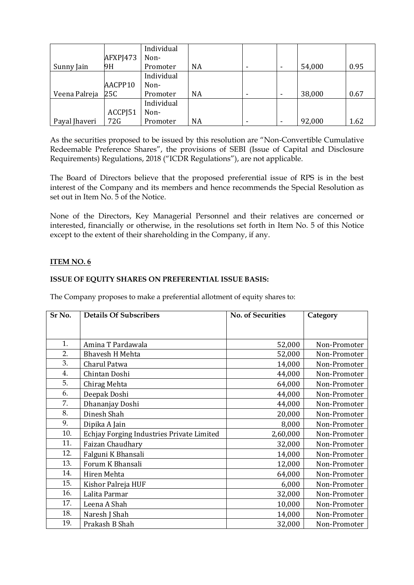|               |          | Individual |           |  |        |      |
|---------------|----------|------------|-----------|--|--------|------|
|               | AFXPJ473 | Non-       |           |  |        |      |
| Sunny Jain    | 9H       | Promoter   | <b>NA</b> |  | 54,000 | 0.95 |
|               |          | Individual |           |  |        |      |
|               | AACPP10  | Non-       |           |  |        |      |
| Veena Palreja | 25C      | Promoter   | <b>NA</b> |  | 38,000 | 0.67 |
|               |          | Individual |           |  |        |      |
|               | ACCPJ51  | Non-       |           |  |        |      |
| Payal Jhaveri | 72G      | Promoter   | <b>NA</b> |  | 92,000 | 1.62 |

As the securities proposed to be issued by this resolution are "Non-Convertible Cumulative Redeemable Preference Shares", the provisions of SEBI (Issue of Capital and Disclosure Requirements) Regulations, 2018 ("ICDR Regulations"), are not applicable.

The Board of Directors believe that the proposed preferential issue of RPS is in the best interest of the Company and its members and hence recommends the Special Resolution as set out in Item No. 5 of the Notice.

None of the Directors, Key Managerial Personnel and their relatives are concerned or interested, financially or otherwise, in the resolutions set forth in Item No. 5 of this Notice except to the extent of their shareholding in the Company, if any.

# **ITEM NO. 6**

# **ISSUE OF EQUITY SHARES ON PREFERENTIAL ISSUE BASIS:**

The Company proposes to make a preferential allotment of equity shares to:

| Sr No. | <b>Details Of Subscribers</b>             | <b>No. of Securities</b> | Category     |
|--------|-------------------------------------------|--------------------------|--------------|
|        |                                           |                          |              |
|        |                                           |                          |              |
| 1.     | Amina T Pardawala                         | 52,000                   | Non-Promoter |
| 2.     | <b>Bhavesh H Mehta</b>                    | 52,000                   | Non-Promoter |
| 3.     | Charul Patwa                              | 14,000                   | Non-Promoter |
| 4.     | Chintan Doshi                             | 44,000                   | Non-Promoter |
| 5.     | Chirag Mehta                              | 64,000                   | Non-Promoter |
| 6.     | Deepak Doshi                              | 44,000                   | Non-Promoter |
| 7.     | Dhananjay Doshi                           | 44,000                   | Non-Promoter |
| 8.     | Dinesh Shah                               | 20,000                   | Non-Promoter |
| 9.     | Dipika A Jain                             | 8,000                    | Non-Promoter |
| 10.    | Echjay Forging Industries Private Limited | 2,60,000                 | Non-Promoter |
| 11.    | Faizan Chaudhary                          | 32,000                   | Non-Promoter |
| 12.    | Falguni K Bhansali                        | 14,000                   | Non-Promoter |
| 13.    | Forum K Bhansali                          | 12,000                   | Non-Promoter |
| 14.    | Hiren Mehta                               | 64,000                   | Non-Promoter |
| 15.    | Kishor Palreja HUF                        | 6,000                    | Non-Promoter |
| 16.    | Lalita Parmar                             | 32,000                   | Non-Promoter |
| 17.    | Leena A Shah                              | 10,000                   | Non-Promoter |
| 18.    | Naresh J Shah                             | 14,000                   | Non-Promoter |
| 19.    | Prakash B Shah                            | 32,000                   | Non-Promoter |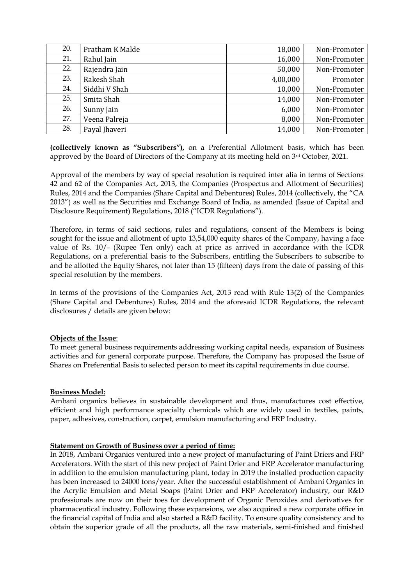| 20. | Pratham K Malde | 18,000   | Non-Promoter |
|-----|-----------------|----------|--------------|
| 21. | Rahul Jain      | 16,000   | Non-Promoter |
| 22. | Rajendra Jain   | 50,000   | Non-Promoter |
| 23. | Rakesh Shah     | 4,00,000 | Promoter     |
| 24. | Siddhi V Shah   | 10,000   | Non-Promoter |
| 25. | Smita Shah      | 14,000   | Non-Promoter |
| 26. | Sunny Jain      | 6,000    | Non-Promoter |
| 27. | Veena Palreja   | 8,000    | Non-Promoter |
| 28. | Payal Jhaveri   | 14,000   | Non-Promoter |

**(collectively known as "Subscribers"),** on a Preferential Allotment basis, which has been approved by the Board of Directors of the Company at its meeting held on 3rd October, 2021.

Approval of the members by way of special resolution is required inter alia in terms of Sections 42 and 62 of the Companies Act, 2013, the Companies (Prospectus and Allotment of Securities) Rules, 2014 and the Companies (Share Capital and Debentures) Rules, 2014 (collectively, the "CA 2013") as well as the Securities and Exchange Board of India, as amended (Issue of Capital and Disclosure Requirement) Regulations, 2018 ("ICDR Regulations").

Therefore, in terms of said sections, rules and regulations, consent of the Members is being sought for the issue and allotment of upto 13,54,000 equity shares of the Company, having a face value of Rs. 10/- (Rupee Ten only) each at price as arrived in accordance with the ICDR Regulations, on a preferential basis to the Subscribers, entitling the Subscribers to subscribe to and be allotted the Equity Shares, not later than 15 (fifteen) days from the date of passing of this special resolution by the members.

In terms of the provisions of the Companies Act, 2013 read with Rule 13(2) of the Companies (Share Capital and Debentures) Rules, 2014 and the aforesaid ICDR Regulations, the relevant disclosures / details are given below:

#### **Objects of the Issue**:

To meet general business requirements addressing working capital needs, expansion of Business activities and for general corporate purpose. Therefore, the Company has proposed the Issue of Shares on Preferential Basis to selected person to meet its capital requirements in due course.

#### **Business Model:**

Ambani organics believes in sustainable development and thus, manufactures cost effective, efficient and high performance specialty chemicals which are widely used in textiles, paints, paper, adhesives, construction, carpet, emulsion manufacturing and FRP Industry.

#### **Statement on Growth of Business over a period of time:**

In 2018, Ambani Organics ventured into a new project of manufacturing of Paint Driers and FRP Accelerators. With the start of this new project of Paint Drier and FRP Accelerator manufacturing in addition to the emulsion manufacturing plant, today in 2019 the installed production capacity has been increased to 24000 tons/year. After the successful establishment of Ambani Organics in the Acrylic Emulsion and Metal Soaps (Paint Drier and FRP Accelerator) industry, our R&D professionals are now on their toes for development of Organic Peroxides and derivatives for pharmaceutical industry. Following these expansions, we also acquired a new corporate office in the financial capital of India and also started a R&D facility. To ensure quality consistency and to obtain the superior grade of all the products, all the raw materials, semi-finished and finished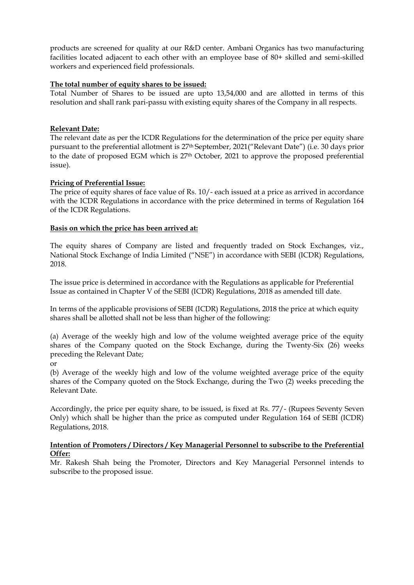products are screened for quality at our R&D center. Ambani Organics has two manufacturing facilities located adjacent to each other with an employee base of 80+ skilled and semi-skilled workers and experienced field professionals.

### **The total number of equity shares to be issued:**

Total Number of Shares to be issued are upto 13,54,000 and are allotted in terms of this resolution and shall rank pari-passu with existing equity shares of the Company in all respects.

### **Relevant Date:**

The relevant date as per the ICDR Regulations for the determination of the price per equity share pursuant to the preferential allotment is 27th September, 2021("Relevant Date") (i.e. 30 days prior to the date of proposed EGM which is 27<sup>th</sup> October, 2021 to approve the proposed preferential issue).

### **Pricing of Preferential Issue:**

The price of equity shares of face value of Rs. 10/- each issued at a price as arrived in accordance with the ICDR Regulations in accordance with the price determined in terms of Regulation 164 of the ICDR Regulations.

### **Basis on which the price has been arrived at:**

The equity shares of Company are listed and frequently traded on Stock Exchanges, viz., National Stock Exchange of India Limited ("NSE") in accordance with SEBI (ICDR) Regulations, 2018.

The issue price is determined in accordance with the Regulations as applicable for Preferential Issue as contained in Chapter V of the SEBI (ICDR) Regulations, 2018 as amended till date.

In terms of the applicable provisions of SEBI (ICDR) Regulations, 2018 the price at which equity shares shall be allotted shall not be less than higher of the following:

(a) Average of the weekly high and low of the volume weighted average price of the equity shares of the Company quoted on the Stock Exchange, during the Twenty-Six (26) weeks preceding the Relevant Date;

or

(b) Average of the weekly high and low of the volume weighted average price of the equity shares of the Company quoted on the Stock Exchange, during the Two (2) weeks preceding the Relevant Date.

Accordingly, the price per equity share, to be issued, is fixed at Rs. 77/- (Rupees Seventy Seven Only) which shall be higher than the price as computed under Regulation 164 of SEBI (ICDR) Regulations, 2018.

### **Intention of Promoters / Directors / Key Managerial Personnel to subscribe to the Preferential Offer:**

Mr. Rakesh Shah being the Promoter, Directors and Key Managerial Personnel intends to subscribe to the proposed issue.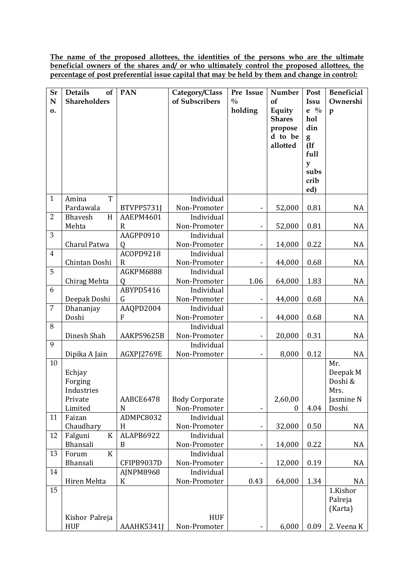**The name of the proposed allottees, the identities of the persons who are the ultimate beneficial owners of the shares and/ or who ultimately control the proposed allottees, the percentage of post preferential issue capital that may be held by them and change in control:**

| Sr             | <b>Details</b><br>of   | <b>PAN</b>     | Category/Class             | Pre Issue                    | Number           | Post      | <b>Beneficial</b> |
|----------------|------------------------|----------------|----------------------------|------------------------------|------------------|-----------|-------------------|
| N              | Shareholders           |                | of Subscribers             | $\frac{0}{0}$                | of               | Issu      | Ownershi          |
| 0.             |                        |                |                            | holding                      | Equity           | $e^{0/2}$ | $\mathbf{p}$      |
|                |                        |                |                            |                              | <b>Shares</b>    | hol       |                   |
|                |                        |                |                            |                              | propose          | din       |                   |
|                |                        |                |                            |                              | d to be          | g         |                   |
|                |                        |                |                            |                              | allotted         | (If       |                   |
|                |                        |                |                            |                              |                  | full      |                   |
|                |                        |                |                            |                              |                  | y<br>subs |                   |
|                |                        |                |                            |                              |                  | crib      |                   |
|                |                        |                |                            |                              |                  | ed)       |                   |
| $\mathbf{1}$   | T<br>Amina             |                | Individual                 |                              |                  |           |                   |
|                | Pardawala              | BTVPP5731J     | Non-Promoter               | -                            | 52,000           | 0.81      | NA                |
| $\overline{2}$ | <b>Bhavesh</b><br>H    | AAEPM4601      | Individual                 |                              |                  |           |                   |
|                | Mehta                  | R              | Non-Promoter               | $\qquad \qquad \blacksquare$ | 52,000           | 0.81      | NA                |
| 3              |                        | AAGPP0910      | Individual                 |                              |                  |           |                   |
|                | Charul Patwa           | Q              | Non-Promoter               | $\overline{\phantom{m}}$     | 14,000           | 0.22      | NA                |
| 4              |                        | ACOPD9218      | Individual                 |                              |                  |           |                   |
|                | Chintan Doshi          | $\mathbf R$    | Non-Promoter               | $\qquad \qquad \blacksquare$ | 44,000           | 0.68      | NA                |
| 5              |                        | AGKPM6888      | Individual                 |                              |                  |           |                   |
| 6              | Chirag Mehta           | Q<br>ABYPD5416 | Non-Promoter<br>Individual | 1.06                         | 64,000           | 1.83      | NA                |
|                | Deepak Doshi           | G              | Non-Promoter               | $\qquad \qquad \blacksquare$ | 44,000           | 0.68      | NA                |
| $\overline{7}$ | Dhananjay              | AAQPD2004      | Individual                 |                              |                  |           |                   |
|                | Doshi                  | F              | Non-Promoter               | $\overline{\phantom{0}}$     | 44,000           | 0.68      | NA                |
| 8              |                        |                | Individual                 |                              |                  |           |                   |
|                | Dinesh Shah            | AAKPS9625B     | Non-Promoter               | $\qquad \qquad \blacksquare$ | 20,000           | 0.31      | NA                |
| 9              |                        |                | Individual                 |                              |                  |           |                   |
|                | Dipika A Jain          | AGXPJ2769E     | Non-Promoter               | $\qquad \qquad \blacksquare$ | 8,000            | 0.12      | NA                |
| 10             |                        |                |                            |                              |                  |           | Mr.               |
|                | Echjay                 |                |                            |                              |                  |           | Deepak M          |
|                | Forging                |                |                            |                              |                  |           | Doshi &           |
|                | Industries             |                |                            |                              |                  |           | Mrs.              |
|                | Private                | AABCE6478      | <b>Body Corporate</b>      |                              | 2,60,00          |           | Jasmine N         |
| 11             | Limited<br>Faizan      | N<br>ADMPC8032 | Non-Promoter<br>Individual | -                            | $\boldsymbol{0}$ | 4.04      | Doshi             |
|                | Chaudhary              | H              | Non-Promoter               |                              | 32,000           | 0.50      | NA                |
| 12             | $\mathbf K$<br>Falguni | ALAPB6922      | Individual                 | -                            |                  |           |                   |
|                | Bhansali               | B              | Non-Promoter               | $\overline{\phantom{0}}$     | 14,000           | 0.22      | NA                |
| 13             | $\mathbf K$<br>Forum   |                | Individual                 |                              |                  |           |                   |
|                | <b>Bhansali</b>        | CFIPB9037D     | Non-Promoter               | $\overline{\phantom{0}}$     | 12,000           | 0.19      | NA                |
| 14             |                        | AJNPM8968      | Individual                 |                              |                  |           |                   |
|                | Hiren Mehta            | $\mathbf K$    | Non-Promoter               | 0.43                         | 64,000           | 1.34      | NA                |
| 15             |                        |                |                            |                              |                  |           | 1.Kishor          |
|                |                        |                |                            |                              |                  |           | Palreja           |
|                |                        |                |                            |                              |                  |           | (Karta)           |
|                | Kishor Palreja         |                | <b>HUF</b>                 |                              |                  |           |                   |
|                | <b>HUF</b>             | AAAHK5341J     | Non-Promoter               |                              | 6,000            | 0.09      | 2. Veena K        |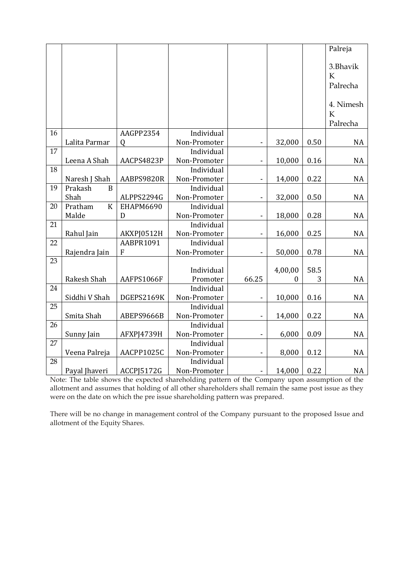|    |                           |                   |              |                              |         |      | Palreja     |
|----|---------------------------|-------------------|--------------|------------------------------|---------|------|-------------|
|    |                           |                   |              |                              |         |      |             |
|    |                           |                   |              |                              |         |      | 3.Bhavik    |
|    |                           |                   |              |                              |         |      | K           |
|    |                           |                   |              |                              |         |      | Palrecha    |
|    |                           |                   |              |                              |         |      |             |
|    |                           |                   |              |                              |         |      | 4. Nimesh   |
|    |                           |                   |              |                              |         |      | $\mathbf K$ |
|    |                           |                   |              |                              |         |      | Palrecha    |
| 16 |                           | AAGPP2354         | Individual   |                              |         |      |             |
|    | Lalita Parmar             | $\Omega$          | Non-Promoter | $\qquad \qquad \blacksquare$ | 32,000  | 0.50 | <b>NA</b>   |
| 17 |                           |                   | Individual   |                              |         |      |             |
|    | Leena A Shah              | AACPS4823P        | Non-Promoter | 4                            | 10,000  | 0.16 | <b>NA</b>   |
| 18 |                           |                   | Individual   |                              |         |      |             |
|    | Naresh J Shah             | AABPS9820R        | Non-Promoter | $\blacksquare$               | 14,000  | 0.22 | <b>NA</b>   |
| 19 | Prakash<br>B              |                   | Individual   |                              |         |      |             |
|    | Shah                      | ALPPS2294G        | Non-Promoter | -                            | 32,000  | 0.50 | <b>NA</b>   |
| 20 | $\overline{K}$<br>Pratham | <b>EHAPM6690</b>  | Individual   |                              |         |      |             |
|    | Malde                     | D                 | Non-Promoter | $\qquad \qquad \blacksquare$ | 18,000  | 0.28 | <b>NA</b>   |
| 21 |                           |                   | Individual   |                              |         |      |             |
|    | Rahul Jain                | AKXPJ0512H        | Non-Promoter | ÷,                           | 16,000  | 0.25 | <b>NA</b>   |
| 22 |                           | AABPR1091         | Individual   |                              |         |      |             |
|    | Rajendra Jain             | $\mathbf F$       | Non-Promoter | -                            | 50,000  | 0.78 | <b>NA</b>   |
| 23 |                           |                   |              |                              |         |      |             |
|    |                           |                   | Individual   |                              | 4,00,00 | 58.5 |             |
|    | Rakesh Shah               | AAFPS1066F        | Promoter     | 66.25                        | 0       | 3    | <b>NA</b>   |
| 24 |                           |                   | Individual   |                              |         |      |             |
|    | Siddhi V Shah             | DGEPS2169K        | Non-Promoter | $\overline{\phantom{0}}$     | 10,000  | 0.16 | <b>NA</b>   |
| 25 |                           |                   | Individual   |                              |         |      |             |
|    | Smita Shah                | ABEPS9666B        | Non-Promoter | $\qquad \qquad \blacksquare$ | 14,000  | 0.22 | <b>NA</b>   |
| 26 |                           |                   | Individual   |                              |         |      |             |
|    | Sunny Jain                | <b>AFXPJ4739H</b> | Non-Promoter | $\qquad \qquad \blacksquare$ | 6,000   | 0.09 | <b>NA</b>   |
| 27 |                           |                   | Individual   |                              |         |      |             |
|    | Veena Palreja             | AACPP1025C        | Non-Promoter | $\overline{\phantom{0}}$     | 8,000   | 0.12 | <b>NA</b>   |
| 28 |                           |                   | Individual   |                              |         |      |             |
|    | Payal Jhaveri             | <b>ACCPJ5172G</b> | Non-Promoter |                              | 14,000  | 0.22 | <b>NA</b>   |

Note: The table shows the expected shareholding pattern of the Company upon assumption of the allotment and assumes that holding of all other shareholders shall remain the same post issue as they were on the date on which the pre issue shareholding pattern was prepared.

There will be no change in management control of the Company pursuant to the proposed Issue and allotment of the Equity Shares.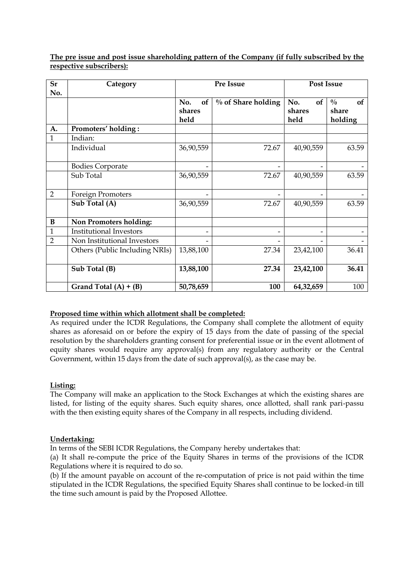| Sr             | Category                       |           | Pre Issue             | <b>Post Issue</b>        |                     |  |  |
|----------------|--------------------------------|-----------|-----------------------|--------------------------|---------------------|--|--|
| No.            |                                |           |                       |                          |                     |  |  |
|                |                                | No.<br>of | $\%$ of Share holding | No.<br>of                | $\frac{0}{0}$<br>of |  |  |
|                |                                | shares    |                       | shares                   | share               |  |  |
|                |                                | held      |                       | held                     | holding             |  |  |
| A.             | Promoters' holding:            |           |                       |                          |                     |  |  |
| $\overline{1}$ | Indian:                        |           |                       |                          |                     |  |  |
|                | Individual                     | 36,90,559 | 72.67                 | 40,90,559                | 63.59               |  |  |
|                | <b>Bodies Corporate</b>        |           |                       |                          |                     |  |  |
|                | Sub Total                      | 36,90,559 | 72.67                 | 40,90,559                | 63.59               |  |  |
| $\overline{2}$ | Foreign Promoters              |           |                       |                          |                     |  |  |
|                | Sub Total (A)                  | 36,90,559 | 72.67                 | 40,90,559                | 63.59               |  |  |
| $\bf{B}$       | Non Promoters holding:         |           |                       |                          |                     |  |  |
| $\mathbf{1}$   | <b>Institutional Investors</b> |           | -                     | $\overline{\phantom{a}}$ |                     |  |  |
| $\overline{2}$ | Non Institutional Investors    |           |                       |                          |                     |  |  |
|                | Others (Public Including NRIs) | 13,88,100 | 27.34                 | 23,42,100                | 36.41               |  |  |
|                | Sub Total (B)                  | 13,88,100 | 27.34                 | 23,42,100                | 36.41               |  |  |
|                | Grand Total $(A) + (B)$        | 50,78,659 | 100                   | 64,32,659                | 100                 |  |  |

**The pre issue and post issue shareholding pattern of the Company (if fully subscribed by the respective subscribers):**

#### **Proposed time within which allotment shall be completed:**

As required under the ICDR Regulations, the Company shall complete the allotment of equity shares as aforesaid on or before the expiry of 15 days from the date of passing of the special resolution by the shareholders granting consent for preferential issue or in the event allotment of equity shares would require any approval(s) from any regulatory authority or the Central Government, within 15 days from the date of such approval(s), as the case may be.

#### **Listing:**

The Company will make an application to the Stock Exchanges at which the existing shares are listed, for listing of the equity shares. Such equity shares, once allotted, shall rank pari-passu with the then existing equity shares of the Company in all respects, including dividend.

#### **Undertaking:**

In terms of the SEBI ICDR Regulations, the Company hereby undertakes that:

(a) It shall re-compute the price of the Equity Shares in terms of the provisions of the ICDR Regulations where it is required to do so.

(b) If the amount payable on account of the re-computation of price is not paid within the time stipulated in the ICDR Regulations, the specified Equity Shares shall continue to be locked-in till the time such amount is paid by the Proposed Allottee.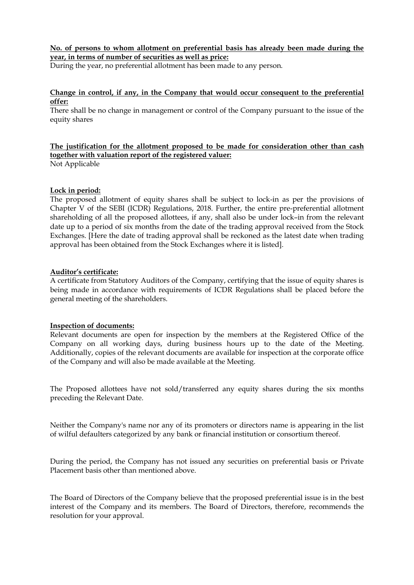**No. of persons to whom allotment on preferential basis has already been made during the year, in terms of number of securities as well as price:** 

During the year, no preferential allotment has been made to any person.

#### **Change in control, if any, in the Company that would occur consequent to the preferential offer:**

There shall be no change in management or control of the Company pursuant to the issue of the equity shares

# **The justification for the allotment proposed to be made for consideration other than cash together with valuation report of the registered valuer:**

Not Applicable

### **Lock in period:**

The proposed allotment of equity shares shall be subject to lock-in as per the provisions of Chapter V of the SEBI (ICDR) Regulations, 2018. Further, the entire pre-preferential allotment shareholding of all the proposed allottees, if any, shall also be under lock–in from the relevant date up to a period of six months from the date of the trading approval received from the Stock Exchanges. [Here the date of trading approval shall be reckoned as the latest date when trading approval has been obtained from the Stock Exchanges where it is listed].

#### **Auditor's certificate:**

A certificate from Statutory Auditors of the Company, certifying that the issue of equity shares is being made in accordance with requirements of ICDR Regulations shall be placed before the general meeting of the shareholders.

#### **Inspection of documents:**

Relevant documents are open for inspection by the members at the Registered Office of the Company on all working days, during business hours up to the date of the Meeting. Additionally, copies of the relevant documents are available for inspection at the corporate office of the Company and will also be made available at the Meeting.

The Proposed allottees have not sold/transferred any equity shares during the six months preceding the Relevant Date.

Neither the Company's name nor any of its promoters or directors name is appearing in the list of wilful defaulters categorized by any bank or financial institution or consortium thereof.

During the period, the Company has not issued any securities on preferential basis or Private Placement basis other than mentioned above.

The Board of Directors of the Company believe that the proposed preferential issue is in the best interest of the Company and its members. The Board of Directors, therefore, recommends the resolution for your approval.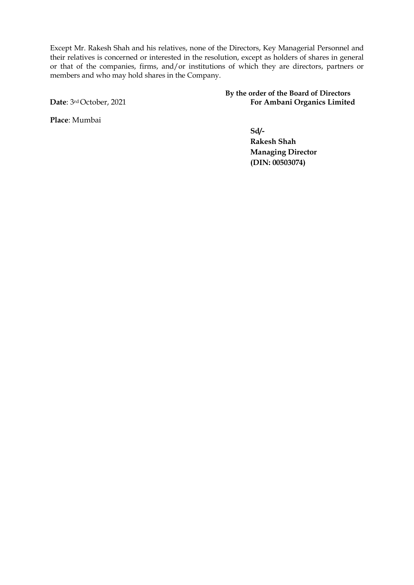Except Mr. Rakesh Shah and his relatives, none of the Directors, Key Managerial Personnel and their relatives is concerned or interested in the resolution, except as holders of shares in general or that of the companies, firms, and/or institutions of which they are directors, partners or members and who may hold shares in the Company.

**By the order of the Board of Directors Date**: 3<sup>rd</sup> October, 2021 **For Ambani Organics Limited** 

**Place**: Mumbai

**Sd/-**

**Rakesh Shah Managing Director (DIN: 00503074)**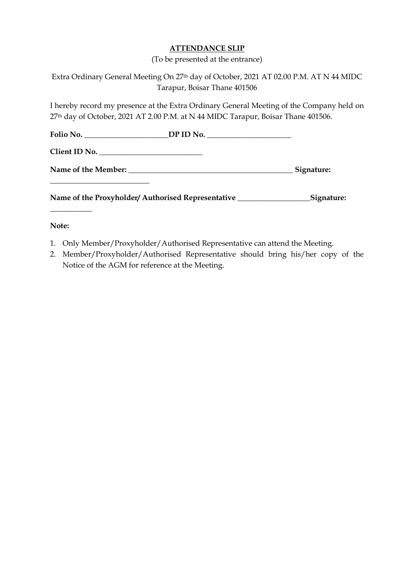# **ATTENDANCE SLIP**

(To be presented at the entrance)

|               | Extra Ordinary General Meeting On 27th day of October, 2021 AT 02.00 P.M. AT N 44 MIDC                                                                                        |            |
|---------------|-------------------------------------------------------------------------------------------------------------------------------------------------------------------------------|------------|
|               | Tarapur, Boisar Thane 401506                                                                                                                                                  |            |
|               | I hereby record my presence at the Extra Ordinary General Meeting of the Company held on<br>27th day of October, 2021 AT 2.00 P.M. at N 44 MIDC Tarapur, Boisar Thane 401506. |            |
|               | Folio No. __________________________DP ID No. __________________________________                                                                                              |            |
| Client ID No. |                                                                                                                                                                               |            |
|               |                                                                                                                                                                               | Signature: |
|               |                                                                                                                                                                               |            |
| Note:         |                                                                                                                                                                               |            |

- 1. Only Member/Proxyholder/Authorised Representative can attend the Meeting.
- 2. Member/Proxyholder/Authorised Representative should bring his/her copy of the Notice of the AGM for reference at the Meeting.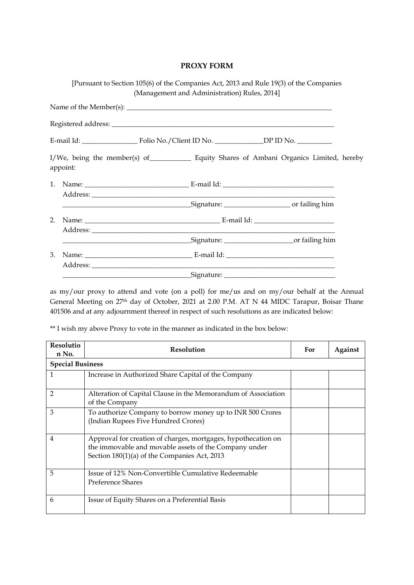# **PROXY FORM**

|    | [Pursuant to Section 105(6) of the Companies Act, 2013 and Rule 19(3) of the Companies    |                                              |  |
|----|-------------------------------------------------------------------------------------------|----------------------------------------------|--|
|    |                                                                                           | (Management and Administration) Rules, 2014] |  |
|    |                                                                                           |                                              |  |
|    |                                                                                           |                                              |  |
|    |                                                                                           |                                              |  |
|    | I/We, being the member(s) of Equity Shares of Ambani Organics Limited, hereby<br>appoint: |                                              |  |
|    |                                                                                           |                                              |  |
|    |                                                                                           |                                              |  |
| 2. |                                                                                           |                                              |  |
|    | <u>Signature: Contract and Superintendence of failing him</u>                             |                                              |  |
| 3. |                                                                                           |                                              |  |
|    |                                                                                           |                                              |  |

as my/our proxy to attend and vote (on a poll) for me/us and on my/our behalf at the Annual General Meeting on 27<sup>th</sup> day of October, 2021 at 2.00 P.M. AT N 44 MIDC Tarapur, Boisar Thane 401506 and at any adjournment thereof in respect of such resolutions as are indicated below:

\*\* I wish my above Proxy to vote in the manner as indicated in the box below:

| <b>Resolutio</b><br>n No. | <b>Resolution</b>                                                                                                                                                      | For | Against |
|---------------------------|------------------------------------------------------------------------------------------------------------------------------------------------------------------------|-----|---------|
| <b>Special Business</b>   |                                                                                                                                                                        |     |         |
| 1                         | Increase in Authorized Share Capital of the Company                                                                                                                    |     |         |
| $\overline{2}$            | Alteration of Capital Clause in the Memorandum of Association<br>of the Company                                                                                        |     |         |
| 3                         | To authorize Company to borrow money up to INR 500 Crores<br>(Indian Rupees Five Hundred Crores)                                                                       |     |         |
| $\overline{4}$            | Approval for creation of charges, mortgages, hypothecation on<br>the immovable and movable assets of the Company under<br>Section 180(1)(a) of the Companies Act, 2013 |     |         |
| 5                         | Issue of 12% Non-Convertible Cumulative Redeemable<br>Preference Shares                                                                                                |     |         |
| 6                         | Issue of Equity Shares on a Preferential Basis                                                                                                                         |     |         |